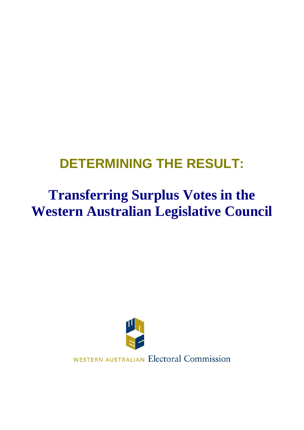# **DETERMINING THE RESULT:**

# **Transferring Surplus Votes in the Western Australian Legislative Council**



WESTERN AUSTRALIAN Electoral Commission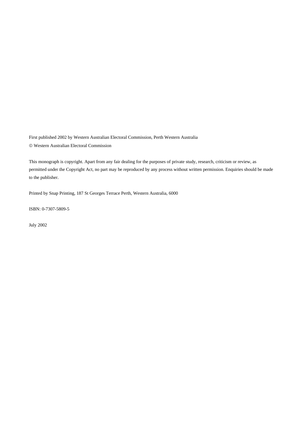First published 2002 by Western Australian Electoral Commission, Perth Western Australia © Western Australian Electoral Commission

This monograph is copyright. Apart from any fair dealing for the purposes of private study, research, criticism or review, as permitted under the Copyright Act, no part may be reproduced by any process without written permission. Enquiries should be made to the publisher.

Printed by Snap Printing, 187 St Georges Terrace Perth, Western Australia, 6000

ISBN: 0-7307-5809-5

July 2002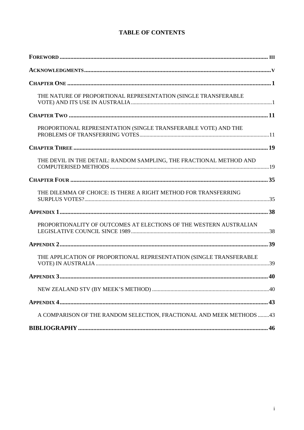## **TABLE OF CONTENTS**

| THE NATURE OF PROPORTIONAL REPRESENTATION (SINGLE TRANSFERABLE        |
|-----------------------------------------------------------------------|
|                                                                       |
| PROPORTIONAL REPRESENTATION (SINGLE TRANSFERABLE VOTE) AND THE        |
|                                                                       |
| THE DEVIL IN THE DETAIL: RANDOM SAMPLING, THE FRACTIONAL METHOD AND   |
|                                                                       |
| THE DILEMMA OF CHOICE: IS THERE A RIGHT METHOD FOR TRANSFERRING       |
|                                                                       |
| PROPORTIONALITY OF OUTCOMES AT ELECTIONS OF THE WESTERN AUSTRALIAN    |
|                                                                       |
| THE APPLICATION OF PROPORTIONAL REPRESENTATION (SINGLE TRANSFERABLE   |
|                                                                       |
|                                                                       |
|                                                                       |
| A COMPARISON OF THE RANDOM SELECTION, FRACTIONAL AND MEEK METHODS  43 |
|                                                                       |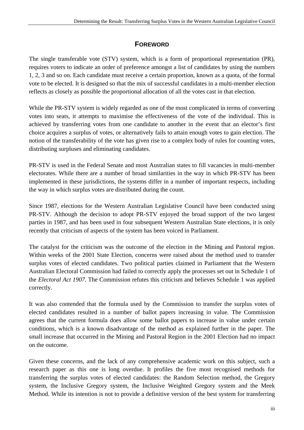# **FOREWORD**

<span id="page-4-0"></span>The single transferable vote (STV) system, which is a form of proportional representation (PR), requires voters to indicate an order of preference amongst a list of candidates by using the numbers 1, 2, 3 and so on. Each candidate must receive a certain proportion, known as a quota, of the formal vote to be elected. It is designed so that the mix of successful candidates in a multi-member election reflects as closely as possible the proportional allocation of all the votes cast in that election.

While the PR-STV system is widely regarded as one of the most complicated in terms of converting votes into seats, it attempts to maximise the effectiveness of the vote of the individual. This is achieved by transferring votes from one candidate to another in the event that an elector's first choice acquires a surplus of votes, or alternatively fails to attain enough votes to gain election. The notion of the transferability of the vote has given rise to a complex body of rules for counting votes, distributing surpluses and eliminating candidates.

PR-STV is used in the Federal Senate and most Australian states to fill vacancies in multi-member electorates. While there are a number of broad similarities in the way in which PR-STV has been implemented in these jurisdictions, the systems differ in a number of important respects, including the way in which surplus votes are distributed during the count.

Since 1987, elections for the Western Australian Legislative Council have been conducted using PR-STV. Although the decision to adopt PR-STV enjoyed the broad support of the two largest parties in 1987, and has been used in four subsequent Western Australian State elections, it is only recently that criticism of aspects of the system has been voiced in Parliament.

The catalyst for the criticism was the outcome of the election in the Mining and Pastoral region. Within weeks of the 2001 State Election, concerns were raised about the method used to transfer surplus votes of elected candidates. Two political parties claimed in Parliament that the Western Australian Electoral Commission had failed to correctly apply the processes set out in Schedule 1 of the *Electoral Act 1907*. The Commission refutes this criticism and believes Schedule 1 was applied correctly.

It was also contended that the formula used by the Commission to transfer the surplus votes of elected candidates resulted in a number of ballot papers increasing in value. The Commission agrees that the current formula does allow some ballot papers to increase in value under certain conditions, which is a known disadvantage of the method as explained further in the paper. The small increase that occurred in the Mining and Pastoral Region in the 2001 Election had no impact on the outcome.

Given these concerns, and the lack of any comprehensive academic work on this subject, such a research paper as this one is long overdue. It profiles the five most recognised methods for transferring the surplus votes of elected candidates: the Random Selection method, the Gregory system, the Inclusive Gregory system, the Inclusive Weighted Gregory system and the Meek Method. While its intention is not to provide a definitive version of the best system for transferring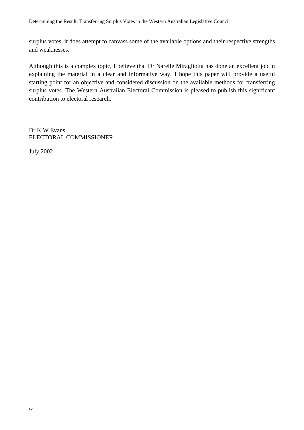surplus votes, it does attempt to canvass some of the available options and their respective strengths and weaknesses.

Although this is a complex topic, I believe that Dr Narelle Miragliotta has done an excellent job in explaining the material in a clear and informative way. I hope this paper will provide a useful starting point for an objective and considered discussion on the available methods for transferring surplus votes. The Western Australian Electoral Commission is pleased to publish this significant contribution to electoral research.

Dr K W Evans ELECTORAL COMMISSIONER

July 2002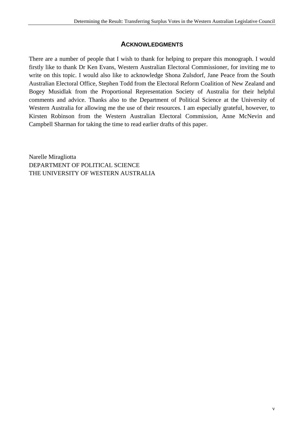## **ACKNOWLEDGMENTS**

<span id="page-6-0"></span>There are a number of people that I wish to thank for helping to prepare this monograph. I would firstly like to thank Dr Ken Evans, Western Australian Electoral Commissioner, for inviting me to write on this topic. I would also like to acknowledge Shona Zulsdorf, Jane Peace from the South Australian Electoral Office, Stephen Todd from the Electoral Reform Coalition of New Zealand and Bogey Musidlak from the Proportional Representation Society of Australia for their helpful comments and advice. Thanks also to the Department of Political Science at the University of Western Australia for allowing me the use of their resources. I am especially grateful, however, to Kirsten Robinson from the Western Australian Electoral Commission, Anne McNevin and Campbell Sharman for taking the time to read earlier drafts of this paper.

Narelle Miragliotta DEPARTMENT OF POLITICAL SCIENCE THE UNIVERSITY OF WESTERN AUSTRALIA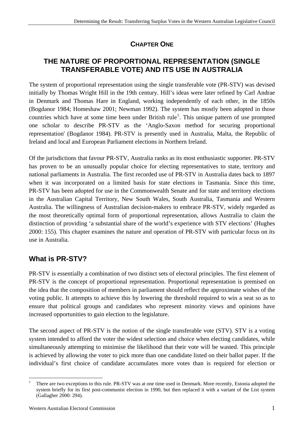# **CHAPTER ONE**

# <span id="page-7-0"></span>**THE NATURE OF PROPORTIONAL REPRESENTATION (SINGLE TRANSFERABLE VOTE) AND ITS USE IN AUSTRALIA**

The system of proportional representation using the single transferable vote (PR-STV) was devised initially by Thomas Wright Hill in the 19th century. Hill's ideas were later refined by Carl Andrae in Denmark and Thomas Hare in England, working independently of each other, in the 1850s (Bogdanor 1984; Homeshaw 2001; Newman 1992). The system has mostly been adopted in those countries which have at some time been under British rule<sup>[1](#page-7-1)</sup>. This unique pattern of use prompted one scholar to describe PR-STV as the 'Anglo-Saxon method for securing proportional representation' (Bogdanor 1984). PR-STV is presently used in Australia, Malta, the Republic of Ireland and local and European Parliament elections in Northern Ireland.

Of the jurisdictions that favour PR-STV, Australia ranks as its most enthusiastic supporter. PR-STV has proven to be an unusually popular choice for electing representatives to state, territory and national parliaments in Australia. The first recorded use of PR-STV in Australia dates back to 1897 when it was incorporated on a limited basis for state elections in Tasmania. Since this time, PR-STV has been adopted for use in the Commonwealth Senate and for state and territory elections in the Australian Capital Territory, New South Wales, South Australia, Tasmania and Western Australia. The willingness of Australian decision-makers to embrace PR-STV, widely regarded as the most theoretically optimal form of proportional representation, allows Australia to claim the distinction of providing 'a substantial share of the world's experience with STV elections' (Hughes 2000: 155). This chapter examines the nature and operation of PR-STV with particular focus on its use in Australia.

# **What is PR-STV?**

PR-STV is essentially a combination of two distinct sets of electoral principles. The first element of PR-STV is the concept of proportional representation. Proportional representation is premised on the idea that the composition of members in parliament should reflect the approximate wishes of the voting public. It attempts to achieve this by lowering the threshold required to win a seat so as to ensure that political groups and candidates who represent minority views and opinions have increased opportunities to gain election to the legislature.

The second aspect of PR-STV is the notion of the single transferable vote (STV). STV is a voting system intended to afford the voter the widest selection and choice when electing candidates, while simultaneously attempting to minimise the likelihood that their vote will be wasted. This principle is achieved by allowing the voter to pick more than one candidate listed on their ballot paper. If the individual's first choice of candidate accumulates more votes than is required for election or

<span id="page-7-1"></span> $\frac{1}{1}$  There are two exceptions to this rule. PR-STV was at one time used in Denmark. More recently, Estonia adopted the system briefly for its first post-communist election in 1990, but then replaced it with a variant of the List system (Gallagher 2000: 294).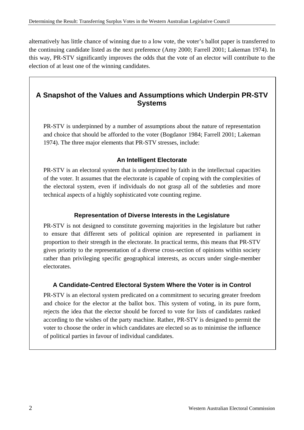alternatively has little chance of winning due to a low vote, the voter's ballot paper is transferred to the continuing candidate listed as the next preference (Amy 2000; Farrell 2001; Lakeman 1974). In this way, PR-STV significantly improves the odds that the vote of an elector will contribute to the election of at least one of the winning candidates.

## **A Snapshot of the Values and Assumptions which Underpin PR-STV Systems**

PR-STV is underpinned by a number of assumptions about the nature of representation and choice that should be afforded to the voter (Bogdanor 1984; Farrell 2001; Lakeman 1974). The three major elements that PR-STV stresses, include:

#### **An Intelligent Electorate**

PR-STV is an electoral system that is underpinned by faith in the intellectual capacities of the voter. It assumes that the electorate is capable of coping with the complexities of the electoral system, even if individuals do not grasp all of the subtleties and more technical aspects of a highly sophisticated vote counting regime.

#### **Representation of Diverse Interests in the Legislature**

PR-STV is not designed to constitute governing majorities in the legislature but rather to ensure that different sets of political opinion are represented in parliament in proportion to their strength in the electorate. In practical terms, this means that PR-STV gives priority to the representation of a diverse cross-section of opinions within society rather than privileging specific geographical interests, as occurs under single-member electorates.

#### **A Candidate-Centred Electoral System Where the Voter is in Control**

PR-STV is an electoral system predicated on a commitment to securing greater freedom and choice for the elector at the ballot box. This system of voting, in its pure form, rejects the idea that the elector should be forced to vote for lists of candidates ranked according to the wishes of the party machine. Rather, PR-STV is designed to permit the voter to choose the order in which candidates are elected so as to minimise the influence of political parties in favour of individual candidates.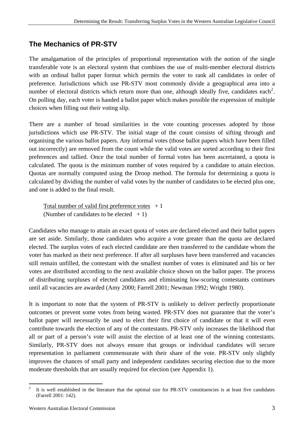# **The Mechanics of PR-STV**

The amalgamation of the principles of proportional representation with the notion of the single transferable vote is an electoral system that combines the use of multi-member electoral districts with an ordinal ballot paper format which permits the voter to rank all candidates in order of preference. Jurisdictions which use PR-STV most commonly divide a geographical area into a number of electoral districts which return more than one, although ideally five, candidates each<sup>[2](#page-9-0)</sup>. On polling day, each voter is handed a ballot paper which makes possible the expression of multiple choices when filling out their voting slip.

There are a number of broad similarities in the vote counting processes adopted by those jurisdictions which use PR-STV. The initial stage of the count consists of sifting through and organising the various ballot papers. Any informal votes (those ballot papers which have been filled out incorrectly) are removed from the count while the valid votes are sorted according to their first preferences and tallied. Once the total number of formal votes has been ascertained, a quota is calculated. The quota is the minimum number of votes required by a candidate to attain election. Quotas are normally computed using the Droop method. The formula for determining a quota is calculated by dividing the number of valid votes by the number of candidates to be elected plus one, and one is added to the final result.

Total number of valid first preference votes  $+1$ (Number of candidates to be elected  $+1$ )

Candidates who manage to attain an exact quota of votes are declared elected and their ballot papers are set aside. Similarly, those candidates who acquire a vote greater than the quota are declared elected. The surplus votes of each elected candidate are then transferred to the candidate whom the voter has marked as their next preference. If after all surpluses have been transferred and vacancies still remain unfilled, the contestant with the smallest number of votes is eliminated and his or her votes are distributed according to the next available choice shown on the ballot paper. The process of distributing surpluses of elected candidates and eliminating low-scoring contestants continues until all vacancies are awarded (Amy 2000; Farrell 2001; Newman 1992; Wright 1980).

It is important to note that the system of PR-STV is unlikely to deliver perfectly proportionate outcomes or prevent some votes from being wasted. PR-STV does not guarantee that the voter's ballot paper will necessarily be used to elect their first choice of candidate or that it will even contribute towards the election of any of the contestants. PR-STV only increases the likelihood that all or part of a person's vote will assist the election of at least one of the winning contestants. Similarly, PR-STV does not always ensure that groups or individual candidates will secure representation in parliament commensurate with their share of the vote. PR-STV only slightly improves the chances of small party and independent candidates securing election due to the more moderate thresholds that are usually required for election (see Appendix 1).

<span id="page-9-0"></span> $\overline{a}$ 2 It is well established in the literature that the optimal size for PR-STV constituencies is at least five candidates (Farrell 2001: 142).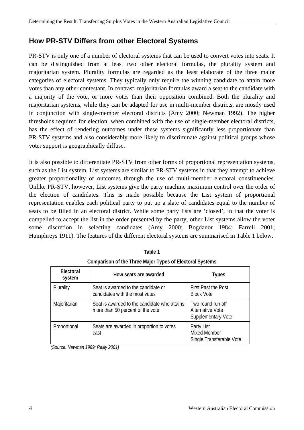## **How PR-STV Differs from other Electoral Systems**

PR-STV is only one of a number of electoral systems that can be used to convert votes into seats. It can be distinguished from at least two other electoral formulas, the plurality system and majoritarian system. Plurality formulas are regarded as the least elaborate of the three major categories of electoral systems. They typically only require the winning candidate to attain more votes than any other contestant. In contrast, majoritarian formulas award a seat to the candidate with a majority of the vote, or more votes than their opposition combined. Both the plurality and majoritarian systems, while they can be adapted for use in multi-member districts, are mostly used in conjunction with single-member electoral districts (Amy 2000; Newman 1992). The higher thresholds required for election, when combined with the use of single-member electoral districts, has the effect of rendering outcomes under these systems significantly less proportionate than PR-STV systems and also considerably more likely to discriminate against political groups whose voter support is geographically diffuse.

It is also possible to differentiate PR-STV from other forms of proportional representation systems, such as the List system. List systems are similar to PR-STV systems in that they attempt to achieve greater proportionality of outcomes through the use of multi-member electoral constituencies. Unlike PR-STV, however, List systems give the party machine maximum control over the order of the election of candidates. This is made possible because the List system of proportional representation enables each political party to put up a slate of candidates equal to the number of seats to be filled in an electoral district. While some party lists are 'closed', in that the voter is compelled to accept the list in the order presented by the party, other List systems allow the voter some discretion in selecting candidates (Amy 2000; Bogdanor 1984; Farrell 2001; Humphreys 1911). The features of the different electoral systems are summarised in Table 1 below.

| Electoral<br>system | How seats are awarded                                                            | <b>Types</b>                                                       |
|---------------------|----------------------------------------------------------------------------------|--------------------------------------------------------------------|
| Plurality           | Seat is awarded to the candidate or<br>candidates with the most votes            | <b>First Past the Post</b><br><b>Block Vote</b>                    |
| Majoritarian        | Seat is awarded to the candidate who attains<br>more than 50 percent of the vote | Two round run off<br>Alternative Vote<br><b>Supplementary Vote</b> |
| Proportional        | Seats are awarded in proportion to votes<br>cast                                 | Party List<br>Mixed Member<br>Single Transferable Vote             |

**Table 1 Comparison of the Three Major Types of Electoral Systems** 

*(Source: Newman 1989; Reilly 2001)*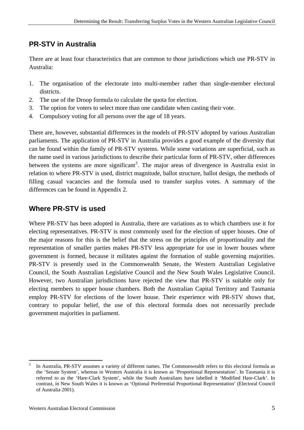# **PR-STV in Australia**

There are at least four characteristics that are common to those jurisdictions which use PR-STV in Australia:

- 1. The organisation of the electorate into multi-member rather than single-member electoral districts.
- 2. The use of the Droop formula to calculate the quota for election.
- 3. The option for voters to select more than one candidate when casting their vote.
- 4. Compulsory voting for all persons over the age of 18 years.

There are, however, substantial differences in the models of PR-STV adopted by various Australian parliaments. The application of PR-STV in Australia provides a good example of the diversity that can be found within the family of PR-STV systems. While some variations are superficial, such as the name used in various jurisdictions to describe their particular form of PR-STV, other differences between the systems are more significant<sup>[3](#page-11-0)</sup>. The major areas of divergence in Australia exist in relation to where PR-STV is used, district magnitude, ballot structure, ballot design, the methods of filling casual vacancies and the formula used to transfer surplus votes. A summary of the differences can be found in Appendix 2.

# **Where PR-STV is used**

Where PR-STV has been adopted in Australia, there are variations as to which chambers use it for electing representatives. PR-STV is most commonly used for the election of upper houses. One of the major reasons for this is the belief that the stress on the principles of proportionality and the representation of smaller parties makes PR-STV less appropriate for use in lower houses where government is formed, because it militates against the formation of stable governing majorities. PR-STV is presently used in the Commonwealth Senate, the Western Australian Legislative Council, the South Australian Legislative Council and the New South Wales Legislative Council. However, two Australian jurisdictions have rejected the view that PR-STV is suitable only for electing members to upper house chambers. Both the Australian Capital Territory and Tasmania employ PR-STV for elections of the lower house. Their experience with PR-STV shows that, contrary to popular belief, the use of this electoral formula does not necessarily preclude government majorities in parliament.

<span id="page-11-0"></span> $\overline{a}$ In Australia, PR-STV assumes a variety of different names. The Commonwealth refers to this electoral formula as the 'Senate System', whereas in Western Australia it is known as 'Proportional Representation'. In Tasmania it is referred to as the 'Hare-Clark System', while the South Australians have labelled it 'Modified Hare-Clark'. In contrast, in New South Wales it is known as 'Optional Preferential Proportional Representation' (Electoral Council of Australia 2001).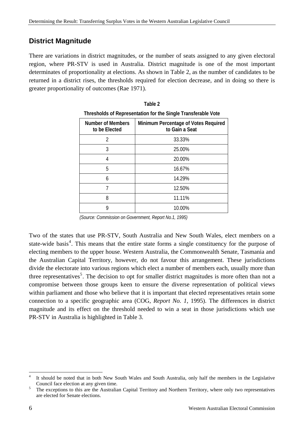## **District Magnitude**

There are variations in district magnitudes, or the number of seats assigned to any given electoral region, where PR-STV is used in Australia. District magnitude is one of the most important determinates of proportionality at elections. As shown in Table 2, as the number of candidates to be returned in a district rises, the thresholds required for election decrease, and in doing so there is greater proportionality of outcomes (Rae 1971).

| THESHOLDS OF INCORDENTIALION FOR THE SHIGHT TRANSICRADIC VOLC |                                                        |  |
|---------------------------------------------------------------|--------------------------------------------------------|--|
| <b>Number of Members</b><br>to be Elected                     | Minimum Percentage of Votes Required<br>to Gain a Seat |  |
| 2                                                             | 33.33%                                                 |  |
| 3                                                             | 25.00%                                                 |  |
| 4                                                             | 20.00%                                                 |  |
| 5                                                             | 16.67%                                                 |  |
| 6                                                             | 14.29%                                                 |  |
|                                                               | 12.50%                                                 |  |
| 8                                                             | 11.11%                                                 |  |
| 9                                                             | 10.00%                                                 |  |

| Table 2                                                       |
|---------------------------------------------------------------|
| Thresholds of Representation for the Single Transferable Vote |

Two of the states that use PR-STV, South Australia and New South Wales, elect members on a state-wide basis<sup>[4](#page-12-0)</sup>. This means that the entire state forms a single constituency for the purpose of electing members to the upper house. Western Australia, the Commonwealth Senate, Tasmania and the Australian Capital Territory, however, do not favour this arrangement. These jurisdictions divide the electorate into various regions which elect a number of members each, usually more than three representatives<sup>[5](#page-12-1)</sup>. The decision to opt for smaller district magnitudes is more often than not a compromise between those groups keen to ensure the diverse representation of political views within parliament and those who believe that it is important that elected representatives retain some connection to a specific geographic area (COG, *Report No. 1*, 1995). The differences in district magnitude and its effect on the threshold needed to win a seat in those jurisdictions which use PR-STV in Australia is highlighted in Table 3.

*<sup>(</sup>Source: Commission on Government, Report No.1, 1995)*

 $\overline{a}$ 4 It should be noted that in both New South Wales and South Australia, only half the members in the Legislative Council face election at any given time.

<span id="page-12-1"></span><span id="page-12-0"></span>The exceptions to this are the Australian Capital Territory and Northern Territory, where only two representatives are elected for Senate elections.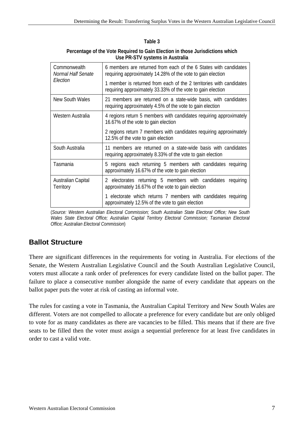#### **Table 3**

| Percentage of the Vote Required to Gain Election in those Jurisdictions which |
|-------------------------------------------------------------------------------|
| Use PR-STV systems in Australia                                               |

| Commonwealth<br>Normal Half Senate | 6 members are returned from each of the 6 States with candidates<br>requiring approximately 14.28% of the vote to gain election    |  |
|------------------------------------|------------------------------------------------------------------------------------------------------------------------------------|--|
| Election                           | 1 member is returned from each of the 2 territories with candidates<br>requiring approximately 33.33% of the vote to gain election |  |
| New South Wales                    | 21 members are returned on a state-wide basis, with candidates<br>requiring approximately 4.5% of the vote to gain election        |  |
| Western Australia                  | 4 regions return 5 members with candidates requiring approximately<br>16.67% of the vote to gain election                          |  |
|                                    | 2 regions return 7 members with candidates requiring approximately<br>12.5% of the vote to gain election                           |  |
| South Australia                    | 11 members are returned on a state-wide basis with candidates<br>requiring approximately 8.33% of the vote to gain election        |  |
| Tasmania                           | 5 regions each returning 5 members with candidates requiring<br>approximately 16.67% of the vote to gain election                  |  |
| Australian Capital<br>Territory    | 2 electorates returning 5 members with candidates requiring<br>approximately 16.67% of the vote to gain election                   |  |
|                                    | 1 electorate which returns 7 members with candidates requiring<br>approximately 12.5% of the vote to gain election                 |  |

<sup>(</sup>*Source: Western Australian Electoral Commission; South Australian State Electoral Office; New South Wales State Electoral Office; Australian Capital Territory Electoral Commission; Tasmanian Electoral Office; Australian Electoral Commission*)

## **Ballot Structure**

There are significant differences in the requirements for voting in Australia. For elections of the Senate, the Western Australian Legislative Council and the South Australian Legislative Council, voters must allocate a rank order of preferences for every candidate listed on the ballot paper. The failure to place a consecutive number alongside the name of every candidate that appears on the ballot paper puts the voter at risk of casting an informal vote.

The rules for casting a vote in Tasmania, the Australian Capital Territory and New South Wales are different. Voters are not compelled to allocate a preference for every candidate but are only obliged to vote for as many candidates as there are vacancies to be filled. This means that if there are five seats to be filled then the voter must assign a sequential preference for at least five candidates in order to cast a valid vote.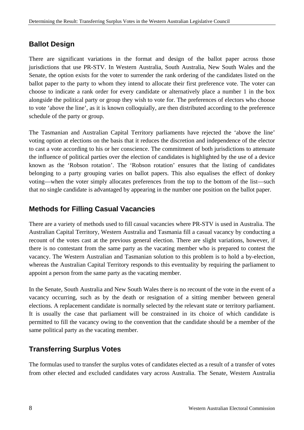## **Ballot Design**

There are significant variations in the format and design of the ballot paper across those jurisdictions that use PR-STV. In Western Australia, South Australia, New South Wales and the Senate, the option exists for the voter to surrender the rank ordering of the candidates listed on the ballot paper to the party to whom they intend to allocate their first preference vote. The voter can choose to indicate a rank order for every candidate or alternatively place a number 1 in the box alongside the political party or group they wish to vote for. The preferences of electors who choose to vote 'above the line', as it is known colloquially, are then distributed according to the preference schedule of the party or group.

The Tasmanian and Australian Capital Territory parliaments have rejected the 'above the line' voting option at elections on the basis that it reduces the discretion and independence of the elector to cast a vote according to his or her conscience. The commitment of both jurisdictions to attenuate the influence of political parties over the election of candidates is highlighted by the use of a device known as the 'Robson rotation'. The 'Robson rotation' ensures that the listing of candidates belonging to a party grouping varies on ballot papers. This also equalises the effect of donkey voting—when the voter simply allocates preferences from the top to the bottom of the list—such that no single candidate is advantaged by appearing in the number one position on the ballot paper.

## **Methods for Filling Casual Vacancies**

There are a variety of methods used to fill casual vacancies where PR-STV is used in Australia. The Australian Capital Territory, Western Australia and Tasmania fill a casual vacancy by conducting a recount of the votes cast at the previous general election. There are slight variations, however, if there is no contestant from the same party as the vacating member who is prepared to contest the vacancy. The Western Australian and Tasmanian solution to this problem is to hold a by-election, whereas the Australian Capital Territory responds to this eventuality by requiring the parliament to appoint a person from the same party as the vacating member.

In the Senate, South Australia and New South Wales there is no recount of the vote in the event of a vacancy occurring, such as by the death or resignation of a sitting member between general elections. A replacement candidate is normally selected by the relevant state or territory parliament. It is usually the case that parliament will be constrained in its choice of which candidate is permitted to fill the vacancy owing to the convention that the candidate should be a member of the same political party as the vacating member.

# **Transferring Surplus Votes**

The formulas used to transfer the surplus votes of candidates elected as a result of a transfer of votes from other elected and excluded candidates vary across Australia. The Senate, Western Australia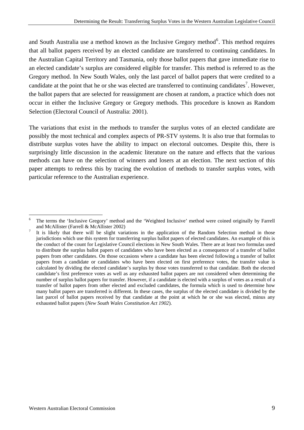and South Australia use a method known as the Inclusive Gregory method $<sup>6</sup>$  $<sup>6</sup>$  $<sup>6</sup>$ . This method requires</sup> that all ballot papers received by an elected candidate are transferred to continuing candidates. In the Australian Capital Territory and Tasmania, only those ballot papers that gave immediate rise to an elected candidate's surplus are considered eligible for transfer. This method is referred to as the Gregory method. In New South Wales, only the last parcel of ballot papers that were credited to a candidate at the point that he or she was elected are transferred to continuing candidates<sup>[7](#page-15-1)</sup>. However, the ballot papers that are selected for reassignment are chosen at random, a practice which does not occur in either the Inclusive Gregory or Gregory methods. This procedure is known as Random Selection (Electoral Council of Australia: 2001).

The variations that exist in the methods to transfer the surplus votes of an elected candidate are possibly the most technical and complex aspects of PR-STV systems. It is also true that formulas to distribute surplus votes have the ability to impact on electoral outcomes. Despite this, there is surprisingly little discussion in the academic literature on the nature and effects that the various methods can have on the selection of winners and losers at an election. The next section of this paper attempts to redress this by tracing the evolution of methods to transfer surplus votes, with particular reference to the Australian experience.

<span id="page-15-0"></span> $\overline{a}$ 6 The terms the 'Inclusive Gregory' method and the 'Weighted Inclusive' method were coined originally by Farrell and McAllister (Farrell & McAllister 2002)

<span id="page-15-1"></span>It is likely that there will be slight variations in the application of the Random Selection method in those jurisdictions which use this system for transferring surplus ballot papers of elected candidates. An example of this is the conduct of the count for Legislative Council elections in New South Wales. There are at least two formulas used to distribute the surplus ballot papers of candidates who have been elected as a consequence of a transfer of ballot papers from other candidates. On those occasions where a candidate has been elected following a transfer of ballot papers from a candidate or candidates who have been elected on first preference votes, the transfer value is calculated by dividing the elected candidate's surplus by those votes transferred to that candidate. Both the elected candidate's first preference votes as well as any exhausted ballot papers are not considered when determining the number of surplus ballot papers for transfer. However, if a candidate is elected with a surplus of votes as a result of a transfer of ballot papers from other elected and excluded candidates, the formula which is used to determine how many ballot papers are transferred is different. In these cases, the surplus of the elected candidate is divided by the last parcel of ballot papers received by that candidate at the point at which he or she was elected, minus any exhausted ballot papers (*New South Wales Constitution Act 1902*).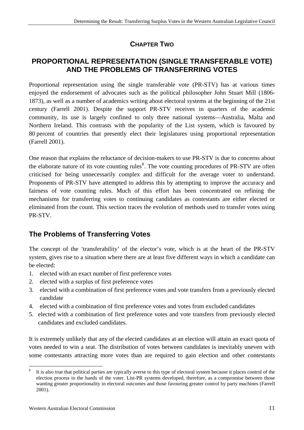# **CHAPTER TWO**

## <span id="page-17-0"></span>**PROPORTIONAL REPRESENTATION (SINGLE TRANSFERABLE VOTE) AND THE PROBLEMS OF TRANSFERRING VOTES**

Proportional representation using the single transferable vote (PR-STV) has at various times enjoyed the endorsement of advocates such as the political philosopher John Stuart Mill (1806- 1873), as well as a number of academics writing about electoral systems at the beginning of the 21st century (Farrell 2001). Despite the support PR-STV receives in quarters of the academic community, its use is largely confined to only three national systems—Australia, Malta and Northern Ireland. This contrasts with the popularity of the List system, which is favoured by 80 percent of countries that presently elect their legislatures using proportional representation (Farrell 2001).

One reason that explains the reluctance of decision-makers to use PR-STV is due to concerns about the elaborate nature of its vote counting rules<sup>[8](#page-17-0)</sup>. The vote counting procedures of PR-STV are often criticised for being unnecessarily complex and difficult for the average voter to understand. Proponents of PR-STV have attempted to address this by attempting to improve the accuracy and fairness of vote counting rules. Much of this effort has been concentrated on refining the mechanisms for transferring votes to continuing candidates as contestants are either elected or eliminated from the count. This section traces the evolution of methods used to transfer votes using PR-STV.

# **The Problems of Transferring Votes**

The concept of the 'transferability' of the elector's vote, which is at the heart of the PR-STV system, gives rise to a situation where there are at least five different ways in which a candidate can be elected:

- 1. elected with an exact number of first preference votes
- 2. elected with a surplus of first preference votes
- 3. elected with a combination of first preference votes and vote transfers from a previously elected candidate
- 4. elected with a combination of first preference votes and votes from excluded candidates
- 5. elected with a combination of first preference votes and vote transfers from previously elected candidates and excluded candidates.

It is extremely unlikely that any of the elected candidates at an election will attain an exact quota of votes needed to win a seat. The distribution of votes between candidates is inevitably uneven with some contestants attracting more votes than are required to gain election and other contestants

 $\overline{a}$ 8 It is also true that political parties are typically averse to this type of electoral system because it places control of the election process in the hands of the voter. List-PR systems developed, therefore, as a compromise between those wanting greater proportionality in electoral outcomes and those favouring greater control by party machines (Farrell 2001).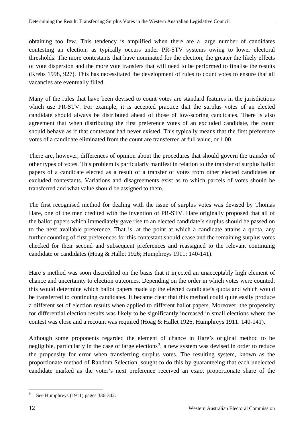<span id="page-18-0"></span>obtaining too few. This tendency is amplified when there are a large number of candidates contesting an election, as typically occurs under PR-STV systems owing to lower electoral thresholds. The more contestants that have nominated for the election, the greater the likely effects of vote dispersion and the more vote transfers that will need to be performed to finalise the results (Krebs 1998, 927). This has necessitated the development of rules to count votes to ensure that all vacancies are eventually filled.

Many of the rules that have been devised to count votes are standard features in the jurisdictions which use PR-STV. For example, it is accepted practice that the surplus votes of an elected candidate should always be distributed ahead of those of low-scoring candidates. There is also agreement that when distributing the first preference votes of an excluded candidate, the count should behave as if that contestant had never existed. This typically means that the first preference votes of a candidate eliminated from the count are transferred at full value, or 1.00.

There are, however, differences of opinion about the procedures that should govern the transfer of other types of votes. This problem is particularly manifest in relation to the transfer of surplus ballot papers of a candidate elected as a result of a transfer of votes from other elected candidates or excluded contestants. Variations and disagreements exist as to which parcels of votes should be transferred and what value should be assigned to them.

The first recognised method for dealing with the issue of surplus votes was devised by Thomas Hare, one of the men credited with the invention of PR-STV. Hare originally proposed that all of the ballot papers which immediately gave rise to an elected candidate's surplus should be passed on to the next available preference. That is, at the point at which a candidate attains a quota, any further counting of first preferences for this contestant should cease and the remaining surplus votes checked for their second and subsequent preferences and reassigned to the relevant continuing candidate or candidates (Hoag & Hallet 1926; Humphreys 1911: 140-141).

Hare's method was soon discredited on the basis that it injected an unacceptably high element of chance and uncertainty to election outcomes. Depending on the order in which votes were counted, this would determine which ballot papers made up the elected candidate's quota and which would be transferred to continuing candidates. It became clear that this method could quite easily produce a different set of election results when applied to different ballot papers. Moreover, the propensity for differential election results was likely to be significantly increased in small elections where the contest was close and a recount was required (Hoag & Hallet 1926; Humphreys 1911: 140-141).

Although some proponents regarded the element of chance in Hare's original method to be negligible, particularly in the case of large elections<sup>[9](#page-18-0)</sup>, a new system was devised in order to reduce the propensity for error when transferring surplus votes. The resulting system, known as the proportionate method of Random Selection, sought to do this by guaranteeing that each unelected candidate marked as the voter's next preference received an exact proportionate share of the

 $\overline{a}$ 

<sup>9</sup> See Humphreys (1911) pages 336-342.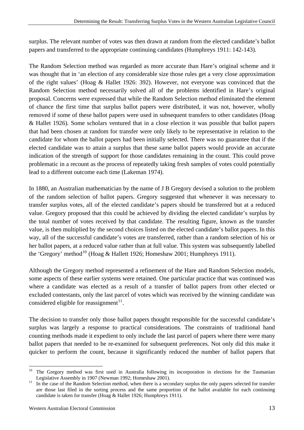<span id="page-19-0"></span>surplus. The relevant number of votes was then drawn at random from the elected candidate's ballot papers and transferred to the appropriate continuing candidates (Humphreys 1911: 142-143).

The Random Selection method was regarded as more accurate than Hare's original scheme and it was thought that in 'an election of any considerable size those rules get a very close approximation of the right values' (Hoag & Hallet 1926: 392). However, not everyone was convinced that the Random Selection method necessarily solved all of the problems identified in Hare's original proposal. Concerns were expressed that while the Random Selection method eliminated the element of chance the first time that surplus ballot papers were distributed, it was not, however, wholly removed if some of these ballot papers were used in subsequent transfers to other candidates (Hoag & Hallet 1926). Some scholars ventured that in a close election it was possible that ballot papers that had been chosen at random for transfer were only likely to be representative in relation to the candidate for whom the ballot papers had been initially selected. There was no guarantee that if the elected candidate was to attain a surplus that these same ballot papers would provide an accurate indication of the strength of support for those candidates remaining in the count. This could prove problematic in a recount as the process of repeatedly taking fresh samples of votes could potentially lead to a different outcome each time (Lakeman 1974).

In 1880, an Australian mathematician by the name of J B Gregory devised a solution to the problem of the random selection of ballot papers. Gregory suggested that whenever it was necessary to transfer surplus votes, all of the elected candidate's papers should be transferred but at a reduced value. Gregory proposed that this could be achieved by dividing the elected candidate's surplus by the total number of votes received by that candidate. The resulting figure, known as the transfer value, is then multiplied by the second choices listed on the elected candidate's ballot papers. In this way, all of the successful candidate's votes are transferred, rather than a random selection of his or her ballot papers, at a reduced value rather than at full value. This system was subsequently labelled the 'Gregory' method<sup>[10](#page-19-0)</sup> (Hoag & Hallett 1926; Homeshaw 2001; Humphreys 1911).

Although the Gregory method represented a refinement of the Hare and Random Selection models, some aspects of these earlier systems were retained. One particular practice that was continued was where a candidate was elected as a result of a transfer of ballot papers from other elected or excluded contestants, only the last parcel of votes which was received by the winning candidate was considered eligible for reassignment $11$ .

The decision to transfer only those ballot papers thought responsible for the successful candidate's surplus was largely a response to practical considerations. The constraints of traditional hand counting methods made it expedient to only include the last parcel of papers where there were many ballot papers that needed to be re-examined for subsequent preferences. Not only did this make it quicker to perform the count, because it significantly reduced the number of ballot papers that

 $\overline{a}$ <sup>10</sup> The Gregory method was first used in Australia following its incorporation in elections for the Tasmanian Legislative Assembly in 1907 (Newman 1992; Homeshaw 2001).<br><sup>11</sup> In the case of the Random Selection method, when there is a secondary surplus the only papers selected for transfer

are those last filed in the sorting process and the same proportion of the ballot available for each continuing candidate is taken for transfer (Hoag & Hallet 1926; Humphreys 1911).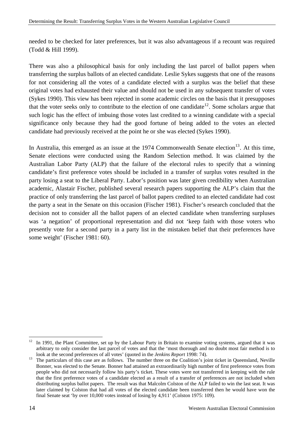<span id="page-20-0"></span>needed to be checked for later preferences, but it was also advantageous if a recount was required (Todd & Hill 1999).

There was also a philosophical basis for only including the last parcel of ballot papers when transferring the surplus ballots of an elected candidate. Leslie Sykes suggests that one of the reasons for not considering all the votes of a candidate elected with a surplus was the belief that these original votes had exhausted their value and should not be used in any subsequent transfer of votes (Sykes 1990). This view has been rejected in some academic circles on the basis that it presupposes that the voter seeks only to contribute to the election of one candidate<sup>[12](#page-20-0)</sup>. Some scholars argue that such logic has the effect of imbuing those votes last credited to a winning candidate with a special significance only because they had the good fortune of being added to the votes an elected candidate had previously received at the point he or she was elected (Sykes 1990).

In Australia, this emerged as an issue at the  $1974$  Commonwealth Senate election<sup>[13](#page-20-0)</sup>. At this time, Senate elections were conducted using the Random Selection method. It was claimed by the Australian Labor Party (ALP) that the failure of the electoral rules to specify that a winning candidate's first preference votes should be included in a transfer of surplus votes resulted in the party losing a seat to the Liberal Party. Labor's position was later given credibility when Australian academic, Alastair Fischer, published several research papers supporting the ALP's claim that the practice of only transferring the last parcel of ballot papers credited to an elected candidate had cost the party a seat in the Senate on this occasion (Fischer 1981). Fischer's research concluded that the decision not to consider all the ballot papers of an elected candidate when transferring surpluses was 'a negation' of proportional representation and did not 'keep faith with those voters who presently vote for a second party in a party list in the mistaken belief that their preferences have some weight' (Fischer 1981: 60).

 $\overline{a}$ 

 $12$  In 1991, the Plant Committee, set up by the Labour Party in Britain to examine voting systems, argued that it was arbitrary to only consider the last parcel of votes and that the 'most thorough and no doubt most fair method is to look at the second preferences of all votes' (quoted in the *Jenkins Report* 1998: 74).

<sup>&</sup>lt;sup>13</sup> The particulars of this case are as follows. The number three on the Coalition's joint ticket in Queensland, Neville Bonner, was elected to the Senate. Bonner had attained an extraordinarily high number of first preference votes from people who did not necessarily follow his party's ticket. These votes were not transferred in keeping with the rule that the first preference votes of a candidate elected as a result of a transfer of preferences are not included when distributing surplus ballot papers. The result was that Malcolm Colston of the ALP failed to win the last seat. It was later claimed by Colston that had all votes of the elected candidate been transferred then he would have won the final Senate seat 'by over 10,000 votes instead of losing by 4,911' (Colston 1975: 109).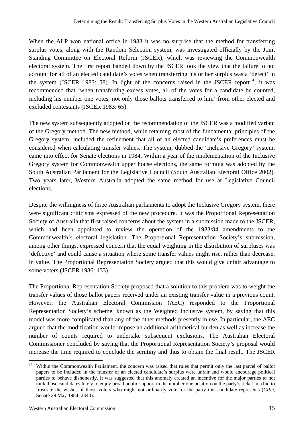<span id="page-21-0"></span>When the ALP won national office in 1983 it was no surprise that the method for transferring surplus votes, along with the Random Selection system, was investigated officially by the Joint Standing Committee on Electoral Reform (JSCER), which was reviewing the Commonwealth electoral system. The first report handed down by the JSCER took the view that the failure to not account for all of an elected candidate's votes when transferring his or her surplus was a 'defect' in the system (JSCER 1983: 58). In light of the concerns raised in the JSCER report<sup>[14](#page-21-0)</sup>, it was recommended that 'when transferring excess votes, all of the votes for a candidate be counted, including his number one votes, not only those ballots transferred to him' from other elected and excluded contestants (JSCER 1983: 65).

The new system subsequently adopted on the recommendation of the JSCER was a modified variant of the Gregory method. The new method, while retaining most of the fundamental principles of the Gregory system, included the refinement that all of an elected candidate's preferences must be considered when calculating transfer values. The system, dubbed the 'Inclusive Gregory' system, came into effect for Senate elections in 1984. Within a year of the implementation of the Inclusive Gregory system for Commonwealth upper house elections, the same formula was adopted by the South Australian Parliament for the Legislative Council (South Australian Electoral Office 2002). Two years later, Western Australia adopted the same method for use at Legislative Council elections.

Despite the willingness of three Australian parliaments to adopt the Inclusive Gregory system, there were significant criticisms expressed of the new procedure. It was the Proportional Representation Society of Australia that first raised concerns about the system in a submission made to the JSCER, which had been appointed to review the operation of the 1983/84 amendments to the Commonwealth's electoral legislation. The Proportional Representation Society's submission, among other things, expressed concern that the equal weighting in the distribution of surpluses was 'defective' and could cause a situation where some transfer values might rise, rather than decrease, in value. The Proportional Representation Society argued that this would give unfair advantage to some voters (JSCER 1986: 133).

The Proportional Representation Society proposed that a solution to this problem was to weight the transfer values of those ballot papers received under an existing transfer value in a previous count. However, the Australian Electoral Commission (AEC) responded to the Proportional Representation Society's scheme, known as the Weighted Inclusive system, by saying that this model was more complicated than any of the other methods presently in use. In particular, the AEC argued that the modification would impose an additional arithmetical burden as well as increase the number of counts required to undertake subsequent exclusions. The Australian Electoral Commissioner concluded by saying that the Proportional Representation Society's proposal would increase the time required to conclude the scrutiny and thus to obtain the final result. The JSCER

 $14$ Within the Commonwealth Parliament, the concern was raised that rules that permit only the last parcel of ballot papers to be included in the transfer of an elected candidate's surplus were unfair and would encourage political parties to behave dishonestly. It was suggested that this anomaly created an incentive for the major parties to not rank those candidates likely to enjoy broad public support in the number one position on the party's ticket in a bid to frustrate the wishes of those voters who might not ordinarily vote for the party this candidate represents (*CPD,*  Senate 29 May 1984, 2344).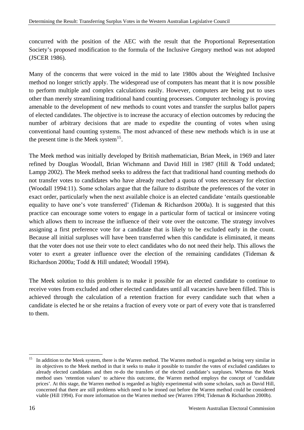<span id="page-22-0"></span>concurred with the position of the AEC with the result that the Proportional Representation Society's proposed modification to the formula of the Inclusive Gregory method was not adopted (JSCER 1986).

Many of the concerns that were voiced in the mid to late 1980s about the Weighted Inclusive method no longer strictly apply. The widespread use of computers has meant that it is now possible to perform multiple and complex calculations easily. However, computers are being put to uses other than merely streamlining traditional hand counting processes. Computer technology is proving amenable to the development of new methods to count votes and transfer the surplus ballot papers of elected candidates. The objective is to increase the accuracy of election outcomes by reducing the number of arbitrary decisions that are made to expedite the counting of votes when using conventional hand counting systems. The most advanced of these new methods which is in use at the present time is the Meek system<sup>[15](#page-22-0)</sup>.

The Meek method was initially developed by British mathematician, Brian Meek, in 1969 and later refined by Douglas Woodall, Brian Wichmann and David Hill in 1987 (Hill & Todd undated; Lampp 2002). The Meek method seeks to address the fact that traditional hand counting methods do not transfer votes to candidates who have already reached a quota of votes necessary for election (Woodall 1994:11). Some scholars argue that the failure to distribute the preferences of the voter in exact order, particularly when the next available choice is an elected candidate 'entails questionable equality to have one's vote transferred' (Tideman  $\&$  Richardson 2000a). It is suggested that this practice can encourage some voters to engage in a particular form of tactical or insincere voting which allows them to increase the influence of their vote over the outcome. The strategy involves assigning a first preference vote for a candidate that is likely to be excluded early in the count. Because all initial surpluses will have been transferred when this candidate is eliminated, it means that the voter does not use their vote to elect candidates who do not need their help. This allows the voter to exert a greater influence over the election of the remaining candidates (Tideman & Richardson 2000a; Todd & Hill undated; Woodall 1994).

The Meek solution to this problem is to make it possible for an elected candidate to continue to receive votes from excluded and other elected candidates until all vacancies have been filled. This is achieved through the calculation of a retention fraction for every candidate such that when a candidate is elected he or she retains a fraction of every vote or part of every vote that is transferred to them.

 $\overline{a}$ In addition to the Meek system, there is the Warren method. The Warren method is regarded as being very similar in its objectives to the Meek method in that it seeks to make it possible to transfer the votes of excluded candidates to already elected candidates and then re-do the transfers of the elected candidate's surpluses. Whereas the Meek method uses 'retention values' to achieve this outcome, the Warren method employs the concept of 'candidate prices'. At this stage, the Warren method is regarded as highly experimental with some scholars, such as David Hill, concerned that there are still problems which need to be ironed out before the Warren method could be considered viable (Hill 1994). For more information on the Warren method see (Warren 1994; Tideman & Richardson 2000b).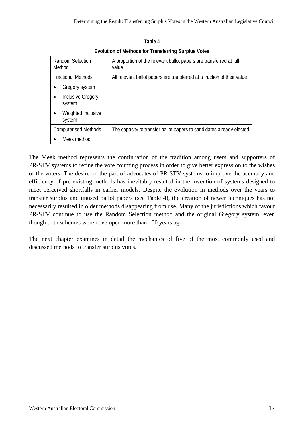| <b>Evolution of Methods for Transferring Surplus Votes</b> |                                                                             |  |
|------------------------------------------------------------|-----------------------------------------------------------------------------|--|
| <b>Random Selection</b><br>Method                          | A proportion of the relevant ballot papers are transferred at full<br>value |  |
| <b>Fractional Methods</b>                                  | All relevant ballot papers are transferred at a fraction of their value     |  |
| Gregory system<br>$\bullet$                                |                                                                             |  |
| Inclusive Gregory<br>$\bullet$<br>system                   |                                                                             |  |
| Weighted Inclusive<br>$\bullet$<br>system                  |                                                                             |  |
| <b>Computerised Methods</b>                                | The capacity to transfer ballot papers to candidates already elected        |  |

**Table 4** 

The Meek method represents the continuation of the tradition among users and supporters of PR-STV systems to refine the vote counting process in order to give better expression to the wishes of the voters. The desire on the part of advocates of PR-STV systems to improve the accuracy and efficiency of pre-existing methods has inevitably resulted in the invention of systems designed to meet perceived shortfalls in earlier models. Despite the evolution in methods over the years to transfer surplus and unused ballot papers (see Table 4), the creation of newer techniques has not necessarily resulted in older methods disappearing from use. Many of the jurisdictions which favour PR-STV continue to use the Random Selection method and the original Gregory system, even though both schemes were developed more than 100 years ago.

The next chapter examines in detail the mechanics of five of the most commonly used and discussed methods to transfer surplus votes.

Meek method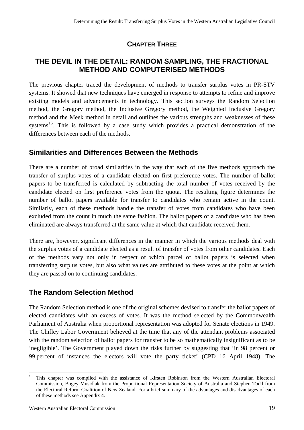# **CHAPTER THREE**

## <span id="page-25-0"></span>**THE DEVIL IN THE DETAIL: RANDOM SAMPLING, THE FRACTIONAL METHOD AND COMPUTERISED METHODS**

The previous chapter traced the development of methods to transfer surplus votes in PR-STV systems. It showed that new techniques have emerged in response to attempts to refine and improve existing models and advancements in technology. This section surveys the Random Selection method, the Gregory method, the Inclusive Gregory method, the Weighted Inclusive Gregory method and the Meek method in detail and outlines the various strengths and weaknesses of these systems<sup>[16](#page-25-0)</sup>. This is followed by a case study which provides a practical demonstration of the differences between each of the methods.

## **Similarities and Differences Between the Methods**

There are a number of broad similarities in the way that each of the five methods approach the transfer of surplus votes of a candidate elected on first preference votes. The number of ballot papers to be transferred is calculated by subtracting the total number of votes received by the candidate elected on first preference votes from the quota. The resulting figure determines the number of ballot papers available for transfer to candidates who remain active in the count. Similarly, each of these methods handle the transfer of votes from candidates who have been excluded from the count in much the same fashion. The ballot papers of a candidate who has been eliminated are always transferred at the same value at which that candidate received them.

There are, however, significant differences in the manner in which the various methods deal with the surplus votes of a candidate elected as a result of transfer of votes from other candidates. Each of the methods vary not only in respect of which parcel of ballot papers is selected when transferring surplus votes, but also what values are attributed to these votes at the point at which they are passed on to continuing candidates.

# **The Random Selection Method**

The Random Selection method is one of the original schemes devised to transfer the ballot papers of elected candidates with an excess of votes. It was the method selected by the Commonwealth Parliament of Australia when proportional representation was adopted for Senate elections in 1949. The Chifley Labor Government believed at the time that any of the attendant problems associated with the random selection of ballot papers for transfer to be so mathematically insignificant as to be 'negligible'. The Government played down the risks further by suggesting that 'in 98 percent or 99 percent of instances the electors will vote the party ticket' (CPD 16 April 1948). The

<sup>16</sup> 16 This chapter was compiled with the assistance of Kirsten Robinson from the Western Australian Electoral Commission, Bogey Musidlak from the Proportional Representation Society of Australia and Stephen Todd from the Electoral Reform Coalition of New Zealand. For a brief summary of the advantages and disadvantages of each of these methods see Appendix 4.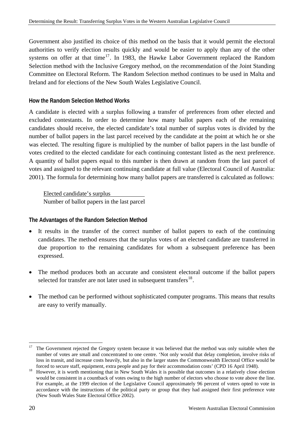<span id="page-26-0"></span>Government also justified its choice of this method on the basis that it would permit the electoral authorities to verify election results quickly and would be easier to apply than any of the other systems on offer at that time<sup>[17](#page-26-0)</sup>. In 1983, the Hawke Labor Government replaced the Random Selection method with the Inclusive Gregory method, on the recommendation of the Joint Standing Committee on Electoral Reform. The Random Selection method continues to be used in Malta and Ireland and for elections of the New South Wales Legislative Council.

#### **How the Random Selection Method Works**

A candidate is elected with a surplus following a transfer of preferences from other elected and excluded contestants. In order to determine how many ballot papers each of the remaining candidates should receive, the elected candidate's total number of surplus votes is divided by the number of ballot papers in the last parcel received by the candidate at the point at which he or she was elected. The resulting figure is multiplied by the number of ballot papers in the last bundle of votes credited to the elected candidate for each continuing contestant listed as the next preference. A quantity of ballot papers equal to this number is then drawn at random from the last parcel of votes and assigned to the relevant continuing candidate at full value (Electoral Council of Australia: 2001). The formula for determining how many ballot papers are transferred is calculated as follows:

Elected candidate's surplus Number of ballot papers in the last parcel

#### **The Advantages of the Random Selection Method**

- It results in the transfer of the correct number of ballot papers to each of the continuing candidates. The method ensures that the surplus votes of an elected candidate are transferred in due proportion to the remaining candidates for whom a subsequent preference has been expressed.
- The method produces both an accurate and consistent electoral outcome if the ballot papers selected for transfer are not later used in subsequent transfers<sup>[18](#page-26-0)</sup>.
- The method can be performed without sophisticated computer programs. This means that results are easy to verify manually.

 $\overline{a}$ 17 The Government rejected the Gregory system because it was believed that the method was only suitable when the number of votes are small and concentrated to one centre. 'Not only would that delay completion, involve risks of loss in transit, and increase costs heavily, but also in the larger states the Commonwealth Electoral Office would be forced to secure staff, equipment, extra people and pay for their accommodation costs' (CPD 16 April 194

<sup>&</sup>lt;sup>18</sup> However, it is worth mentioning that in New South Wales it is possible that outcomes in a relatively close election would be consistent in a countback of votes owing to the high number of electors who choose to vote above the line. For example, at the 1999 election of the Legislative Council approximately 96 percent of voters opted to vote in accordance with the instructions of the political party or group that they had assigned their first preference vote (New South Wales State Electoral Office 2002).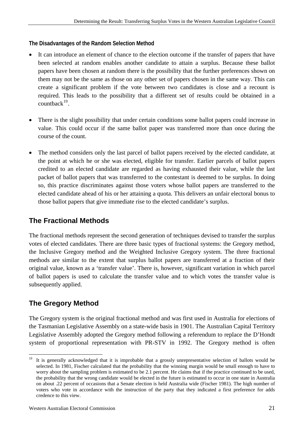#### <span id="page-27-0"></span>**The Disadvantages of the Random Selection Method**

- It can introduce an element of chance to the election outcome if the transfer of papers that have been selected at random enables another candidate to attain a surplus. Because these ballot papers have been chosen at random there is the possibility that the further preferences shown on them may not be the same as those on any other set of papers chosen in the same way. This can create a significant problem if the vote between two candidates is close and a recount is required. This leads to the possibility that a different set of results could be obtained in a  $countback^{19}$  $countback^{19}$  $countback^{19}$ .
- There is the slight possibility that under certain conditions some ballot papers could increase in value. This could occur if the same ballot paper was transferred more than once during the course of the count.
- The method considers only the last parcel of ballot papers received by the elected candidate, at the point at which he or she was elected, eligible for transfer. Earlier parcels of ballot papers credited to an elected candidate are regarded as having exhausted their value, while the last packet of ballot papers that was transferred to the contestant is deemed to be surplus. In doing so, this practice discriminates against those voters whose ballot papers are transferred to the elected candidate ahead of his or her attaining a quota. This delivers an unfair electoral bonus to those ballot papers that give immediate rise to the elected candidate's surplus.

# **The Fractional Methods**

The fractional methods represent the second generation of techniques devised to transfer the surplus votes of elected candidates. There are three basic types of fractional systems: the Gregory method, the Inclusive Gregory method and the Weighted Inclusive Gregory system. The three fractional methods are similar to the extent that surplus ballot papers are transferred at a fraction of their original value, known as a 'transfer value'. There is, however, significant variation in which parcel of ballot papers is used to calculate the transfer value and to which votes the transfer value is subsequently applied.

# **The Gregory Method**

The Gregory system is the original fractional method and was first used in Australia for elections of the Tasmanian Legislative Assembly on a state-wide basis in 1901. The Australian Capital Territory Legislative Assembly adopted the Gregory method following a referendum to replace the D'Hondt system of proportional representation with PR-STV in 1992. The Gregory method is often

 $\overline{a}$  $19$  It is generally acknowledged that it is improbable that a grossly unrepresentative selection of ballots would be selected. In 1981, Fischer calculated that the probability that the winning margin would be small enough to have to worry about the sampling problem is estimated to be 2.1 percent. He claims that if the practice continued to be used, the probability that the wrong candidate would be elected in the future is estimated to occur in one state in Australia on about .22 percent of occasions that a Senate election is held Australia wide (Fischer 1981). The high number of voters who vote in accordance with the instruction of the party that they indicated a first preference for adds credence to this view.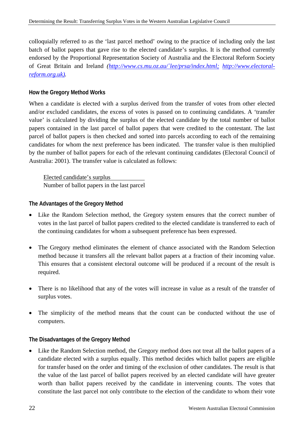colloquially referred to as the 'last parcel method' owing to the practice of including only the last batch of ballot papers that gave rise to the elected candidate's surplus. It is the method currently endorsed by the Proportional Representation Society of Australia and the Electoral Reform Society of Great Britain and Ireland *[\(http://www.cs.mu.oz.au/`lee/prsa/index.html;](http://www.cs.mu.oz.au/%60lee/prsa/index.html;) [http://www.electoral](http://www.electoral-reform.org.uk/))[reform.org.uk\)](http://www.electoral-reform.org.uk/)).*

#### **How the Gregory Method Works**

When a candidate is elected with a surplus derived from the transfer of votes from other elected and/or excluded candidates, the excess of votes is passed on to continuing candidates. A 'transfer value' is calculated by dividing the surplus of the elected candidate by the total number of ballot papers contained in the last parcel of ballot papers that were credited to the contestant. The last parcel of ballot papers is then checked and sorted into parcels according to each of the remaining candidates for whom the next preference has been indicated. The transfer value is then multiplied by the number of ballot papers for each of the relevant continuing candidates (Electoral Council of Australia: 2001). The transfer value is calculated as follows:

Elected candidate's surplus Number of ballot papers in the last parcel

**The Advantages of the Gregory Method** 

- Like the Random Selection method, the Gregory system ensures that the correct number of votes in the last parcel of ballot papers credited to the elected candidate is transferred to each of the continuing candidates for whom a subsequent preference has been expressed.
- The Gregory method eliminates the element of chance associated with the Random Selection method because it transfers all the relevant ballot papers at a fraction of their incoming value. This ensures that a consistent electoral outcome will be produced if a recount of the result is required.
- There is no likelihood that any of the votes will increase in value as a result of the transfer of surplus votes.
- The simplicity of the method means that the count can be conducted without the use of computers.

#### **The Disadvantages of the Gregory Method**

• Like the Random Selection method, the Gregory method does not treat all the ballot papers of a candidate elected with a surplus equally. This method decides which ballot papers are eligible for transfer based on the order and timing of the exclusion of other candidates. The result is that the value of the last parcel of ballot papers received by an elected candidate will have greater worth than ballot papers received by the candidate in intervening counts. The votes that constitute the last parcel not only contribute to the election of the candidate to whom their vote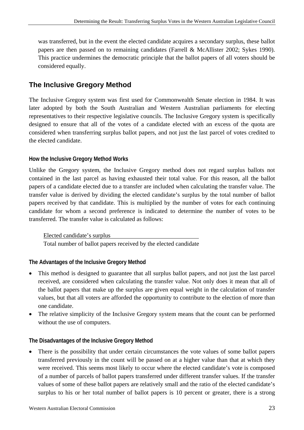was transferred, but in the event the elected candidate acquires a secondary surplus, these ballot papers are then passed on to remaining candidates (Farrell & McAllister 2002; Sykes 1990). This practice undermines the democratic principle that the ballot papers of all voters should be considered equally.

# **The Inclusive Gregory Method**

The Inclusive Gregory system was first used for Commonwealth Senate election in 1984. It was later adopted by both the South Australian and Western Australian parliaments for electing representatives to their respective legislative councils. The Inclusive Gregory system is specifically designed to ensure that all of the votes of a candidate elected with an excess of the quota are considered when transferring surplus ballot papers, and not just the last parcel of votes credited to the elected candidate.

#### **How the Inclusive Gregory Method Works**

Unlike the Gregory system, the Inclusive Gregory method does not regard surplus ballots not contained in the last parcel as having exhausted their total value. For this reason, all the ballot papers of a candidate elected due to a transfer are included when calculating the transfer value. The transfer value is derived by dividing the elected candidate's surplus by the total number of ballot papers received by that candidate. This is multiplied by the number of votes for each continuing candidate for whom a second preference is indicated to determine the number of votes to be transferred. The transfer value is calculated as follows:

#### Elected candidate's surplus

Total number of ballot papers received by the elected candidate

### **The Advantages of the Inclusive Gregory Method**

- This method is designed to guarantee that all surplus ballot papers, and not just the last parcel received, are considered when calculating the transfer value. Not only does it mean that all of the ballot papers that make up the surplus are given equal weight in the calculation of transfer values, but that all voters are afforded the opportunity to contribute to the election of more than one candidate.
- The relative simplicity of the Inclusive Gregory system means that the count can be performed without the use of computers.

#### **The Disadvantages of the Inclusive Gregory Method**

• There is the possibility that under certain circumstances the vote values of some ballot papers transferred previously in the count will be passed on at a higher value than that at which they were received. This seems most likely to occur where the elected candidate's vote is composed of a number of parcels of ballot papers transferred under different transfer values. If the transfer values of some of these ballot papers are relatively small and the ratio of the elected candidate's surplus to his or her total number of ballot papers is 10 percent or greater, there is a strong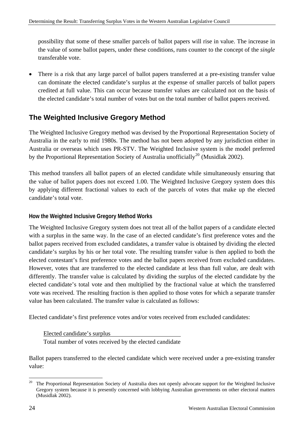<span id="page-30-0"></span>possibility that some of these smaller parcels of ballot papers will rise in value. The increase in the value of some ballot papers, under these conditions, runs counter to the concept of the *single*  transferable vote.

• There is a risk that any large parcel of ballot papers transferred at a pre-existing transfer value can dominate the elected candidate's surplus at the expense of smaller parcels of ballot papers credited at full value. This can occur because transfer values are calculated not on the basis of the elected candidate's total number of votes but on the total number of ballot papers received.

# **The Weighted Inclusive Gregory Method**

The Weighted Inclusive Gregory method was devised by the Proportional Representation Society of Australia in the early to mid 1980s. The method has not been adopted by any jurisdiction either in Australia or overseas which uses PR-STV. The Weighted Inclusive system is the model preferred by the Proportional Representation Society of Australia unofficially<sup>[20](#page-30-0)</sup> (Musidlak 2002).

This method transfers all ballot papers of an elected candidate while simultaneously ensuring that the value of ballot papers does not exceed 1.00. The Weighted Inclusive Gregory system does this by applying different fractional values to each of the parcels of votes that make up the elected candidate's total vote.

#### **How the Weighted Inclusive Gregory Method Works**

The Weighted Inclusive Gregory system does not treat all of the ballot papers of a candidate elected with a surplus in the same way. In the case of an elected candidate's first preference votes and the ballot papers received from excluded candidates, a transfer value is obtained by dividing the elected candidate's surplus by his or her total vote. The resulting transfer value is then applied to both the elected contestant's first preference votes and the ballot papers received from excluded candidates. However, votes that are transferred to the elected candidate at less than full value, are dealt with differently. The transfer value is calculated by dividing the surplus of the elected candidate by the elected candidate's total vote and then multiplied by the fractional value at which the transferred vote was received. The resulting fraction is then applied to those votes for which a separate transfer value has been calculated. The transfer value is calculated as follows:

Elected candidate's first preference votes and/or votes received from excluded candidates:

Elected candidate's surplus

Total number of votes received by the elected candidate

Ballot papers transferred to the elected candidate which were received under a pre-existing transfer value:

 $20$ 20 The Proportional Representation Society of Australia does not openly advocate support for the Weighted Inclusive Gregory system because it is presently concerned with lobbying Australian governments on other electoral matters (Musidlak 2002).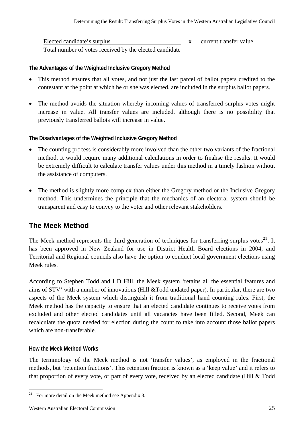<span id="page-31-0"></span>Elected candidate's surplus x current transfer value Total number of votes received by the elected candidate

#### **The Advantages of the Weighted Inclusive Gregory Method**

- This method ensures that all votes, and not just the last parcel of ballot papers credited to the contestant at the point at which he or she was elected, are included in the surplus ballot papers.
- The method avoids the situation whereby incoming values of transferred surplus votes might increase in value. All transfer values are included, although there is no possibility that previously transferred ballots will increase in value.

#### **The Disadvantages of the Weighted Inclusive Gregory Method**

- The counting process is considerably more involved than the other two variants of the fractional method. It would require many additional calculations in order to finalise the results. It would be extremely difficult to calculate transfer values under this method in a timely fashion without the assistance of computers.
- The method is slightly more complex than either the Gregory method or the Inclusive Gregory method. This undermines the principle that the mechanics of an electoral system should be transparent and easy to convey to the voter and other relevant stakeholders.

# **The Meek Method**

The Meek method represents the third generation of techniques for transferring surplus votes $^{21}$  $^{21}$  $^{21}$ . It has been approved in New Zealand for use in District Health Board elections in 2004, and Territorial and Regional councils also have the option to conduct local government elections using Meek rules.

According to Stephen Todd and I D Hill, the Meek system 'retains all the essential features and aims of STV' with a number of innovations (Hill &Todd undated paper). In particular, there are two aspects of the Meek system which distinguish it from traditional hand counting rules. First, the Meek method has the capacity to ensure that an elected candidate continues to receive votes from excluded and other elected candidates until all vacancies have been filled. Second, Meek can recalculate the quota needed for election during the count to take into account those ballot papers which are non-transferable.

#### **How the Meek Method Works**

 $\overline{a}$ 

The terminology of the Meek method is not 'transfer values', as employed in the fractional methods, but 'retention fractions'. This retention fraction is known as a 'keep value' and it refers to that proportion of every vote, or part of every vote, received by an elected candidate (Hill & Todd

For more detail on the Meek method see Appendix 3.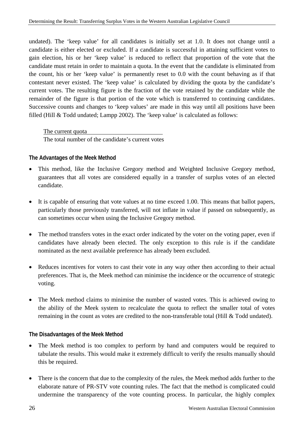undated). The 'keep value' for all candidates is initially set at 1.0. It does not change until a candidate is either elected or excluded. If a candidate is successful in attaining sufficient votes to gain election, his or her 'keep value' is reduced to reflect that proportion of the vote that the candidate must retain in order to maintain a quota. In the event that the candidate is eliminated from the count, his or her 'keep value' is permanently reset to 0.0 with the count behaving as if that contestant never existed. The 'keep value' is calculated by dividing the quota by the candidate's current votes. The resulting figure is the fraction of the vote retained by the candidate while the remainder of the figure is that portion of the vote which is transferred to continuing candidates. Successive counts and changes to 'keep values' are made in this way until all positions have been filled (Hill & Todd undated; Lampp 2002). The 'keep value' is calculated as follows:

The current quota The total number of the candidate's current votes

#### **The Advantages of the Meek Method**

- This method, like the Inclusive Gregory method and Weighted Inclusive Gregory method, guarantees that all votes are considered equally in a transfer of surplus votes of an elected candidate.
- It is capable of ensuring that vote values at no time exceed 1.00. This means that ballot papers, particularly those previously transferred, will not inflate in value if passed on subsequently, as can sometimes occur when using the Inclusive Gregory method.
- The method transfers votes in the exact order indicated by the voter on the voting paper, even if candidates have already been elected. The only exception to this rule is if the candidate nominated as the next available preference has already been excluded.
- Reduces incentives for voters to cast their vote in any way other then according to their actual preferences. That is, the Meek method can minimise the incidence or the occurrence of strategic voting.
- The Meek method claims to minimise the number of wasted votes. This is achieved owing to the ability of the Meek system to recalculate the quota to reflect the smaller total of votes remaining in the count as votes are credited to the non-transferable total (Hill & Todd undated).

#### **The Disadvantages of the Meek Method**

- The Meek method is too complex to perform by hand and computers would be required to tabulate the results. This would make it extremely difficult to verify the results manually should this be required.
- There is the concern that due to the complexity of the rules, the Meek method adds further to the elaborate nature of PR-STV vote counting rules. The fact that the method is complicated could undermine the transparency of the vote counting process. In particular, the highly complex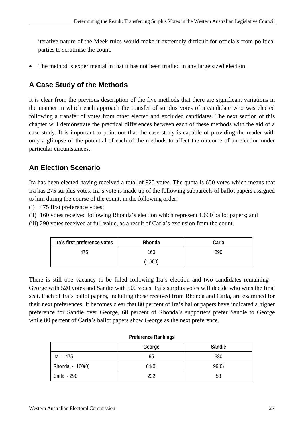iterative nature of the Meek rules would make it extremely difficult for officials from political parties to scrutinise the count.

• The method is experimental in that it has not been trialled in any large sized election.

# **A Case Study of the Methods**

It is clear from the previous description of the five methods that there are significant variations in the manner in which each approach the transfer of surplus votes of a candidate who was elected following a transfer of votes from other elected and excluded candidates. The next section of this chapter will demonstrate the practical differences between each of these methods with the aid of a case study. It is important to point out that the case study is capable of providing the reader with only a glimpse of the potential of each of the methods to affect the outcome of an election under particular circumstances.

# **An Election Scenario**

Ira has been elected having received a total of 925 votes. The quota is 650 votes which means that Ira has 275 surplus votes. Ira's vote is made up of the following subparcels of ballot papers assigned to him during the course of the count, in the following order:

(i) 475 first preference votes;

(ii) 160 votes received following Rhonda's election which represent 1,600 ballot papers; and

(iii) 290 votes received at full value, as a result of Carla's exclusion from the count.

| Ira's first preference votes | Rhonda  | Carla |
|------------------------------|---------|-------|
| 475                          | 160     | 290   |
|                              | (1,600) |       |

There is still one vacancy to be filled following Ira's election and two candidates remaining— George with 520 votes and Sandie with 500 votes. Ira's surplus votes will decide who wins the final seat. Each of Ira's ballot papers, including those received from Rhonda and Carla, are examined for their next preferences. It becomes clear that 80 percent of Ira's ballot papers have indicated a higher preference for Sandie over George, 60 percent of Rhonda's supporters prefer Sandie to George while 80 percent of Carla's ballot papers show George as the next preference.

| THUIGH OT DUTING TYPITING THE T |        |        |
|---------------------------------|--------|--------|
|                                 | George | Sandie |
| Ira - 475                       | 95     | 380    |
| Rhonda - 160(0)                 | 64(0)  | 96(0)  |
| Carla - 290                     | 232    | 58     |

#### **Preference Rankings**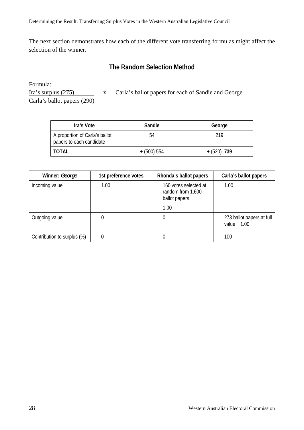The next section demonstrates how each of the different vote transferring formulas might affect the selection of the winner.

## **The Random Selection Method**

Formula:

Ira's surplus (275) x Carla's ballot papers for each of Sandie and George Carla's ballot papers (290)

| Ira's Vote                                                 | Sandie        | George       |
|------------------------------------------------------------|---------------|--------------|
| A proportion of Carla's ballot<br>papers to each candidate | 54            | 219          |
| <b>TOTAL</b>                                               | $+ (500) 554$ | $+(520)$ 739 |

| Winner: George              | 1st preference votes | Rhonda's ballot papers                                      | Carla's ballot papers                   |
|-----------------------------|----------------------|-------------------------------------------------------------|-----------------------------------------|
| Incoming value              | 1.00                 | 160 votes selected at<br>random from 1,600<br>ballot papers | 1.00                                    |
|                             |                      | 1.00                                                        |                                         |
| Outgoing value              |                      | 0                                                           | 273 ballot papers at full<br>value 1.00 |
| Contribution to surplus (%) | 0                    |                                                             | 100                                     |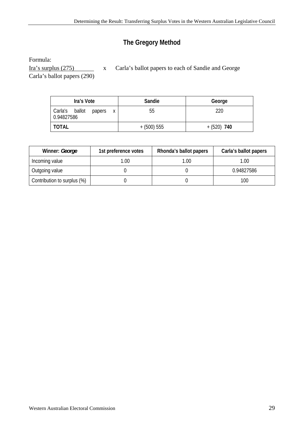# **The Gregory Method**

Formula:

Ira's surplus (275) x Carla's ballot papers to each of Sandie and George

Carla's ballot papers (290)

| Ira's Vote                                  | Sandie        | George       |
|---------------------------------------------|---------------|--------------|
| Carla's ballot<br>papers<br>Χ<br>0.94827586 | 55            | 220          |
| <b>TOTAL</b>                                | $+$ (500) 555 | $+(520)$ 740 |

| Winner: George              | 1st preference votes | Rhonda's ballot papers | Carla's ballot papers |
|-----------------------------|----------------------|------------------------|-----------------------|
| Incoming value              | .00.                 | 1.00                   | 1.00                  |
| Outgoing value              |                      |                        | 0.94827586            |
| Contribution to surplus (%) |                      |                        | 100                   |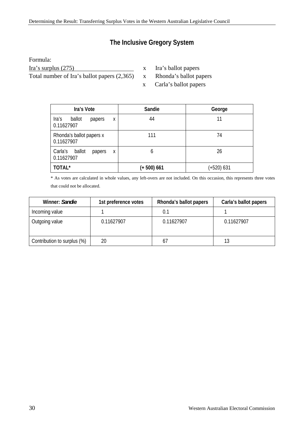# **The Inclusive Gregory System**

Formula:

Ira's surplus (275) x Ira's ballot papers

Total number of Ira's ballot papers (2,365) x Rhonda's ballot papers

- 
- x Carla's ballot papers

| Ira's Vote                                     | Sandie      | George     |
|------------------------------------------------|-------------|------------|
| ballot<br>Ira's<br>papers<br>X<br>0.11627907   | 44          | 11         |
| Rhonda's ballot papers x<br>0.11627907         | 111         | 74         |
| Carla's<br>ballot<br>papers<br>X<br>0.11627907 | 6           | 26         |
| TOTAL*                                         | (+ 500) 661 | (+520) 631 |

\* As votes are calculated in whole values, any left-overs are not included. On this occasion, this represents three votes that could not be allocated.

| Winner: Sandie              | 1st preference votes | Rhonda's ballot papers | Carla's ballot papers |
|-----------------------------|----------------------|------------------------|-----------------------|
| Incoming value              |                      | 0.1                    |                       |
| Outgoing value              | 0.11627907           | 0.11627907             | 0.11627907            |
| Contribution to surplus (%) | 20                   | 67                     | 13                    |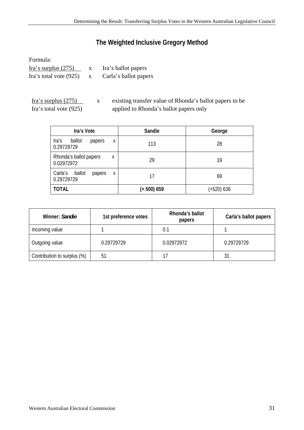## **The Weighted Inclusive Gregory Method**

Formula: Ira's surplus (275) x Ira's ballot papers Ira's total vote (925) x Carla's ballot papers

Ira's surplus (275) x existing transfer value of Rhonda's ballot papers to be Ira's total vote (925) applied to Rhonda's ballot papers only

| Ira's Vote                                     | Sandie        | George     |
|------------------------------------------------|---------------|------------|
| Ira's<br>ballot<br>papers<br>X<br>0.29729729   | 113           | 28         |
| Rhonda's ballot papers<br>X<br>0.02972972      | 29            | 19         |
| Carla's<br>ballot<br>papers<br>X<br>0.29729729 | 17            | 69         |
| <b>TOTAL</b>                                   | $(+ 500) 659$ | (+520) 636 |

| Winner: Sandie              | 1st preference votes | Rhonda's ballot<br>papers | Carla's ballot papers |
|-----------------------------|----------------------|---------------------------|-----------------------|
| Incoming value              |                      | 0.1                       |                       |
| Outgoing value              | 0.29729729           | 0.02972972                | 0.29729729            |
| Contribution to surplus (%) | 5 <sup>1</sup>       |                           | 31                    |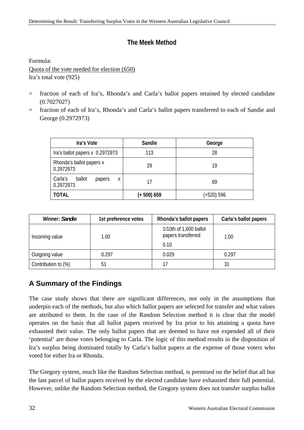## **The Meek Method**

Formula:

Quota of the vote needed for election (650) Ira's total vote (925)

- = fraction of each of Ira's, Rhonda's and Carla's ballot papers retained by elected candidate (0.7027027)
- = fraction of each of Ira's, Rhonda's and Carla's ballot papers transferred to each of Sandie and George (0.2972973)

| Ira's Vote                                    | Sandie      | George     |
|-----------------------------------------------|-------------|------------|
| Ira's ballot papers x 0.2972973               | 113         | 28         |
| Rhonda's ballot papers x<br>0.2972973         | 29          | 19         |
| Carla's<br>ballot<br>papers<br>Χ<br>0.2972973 | 17          | 69         |
| <b>TOTAL</b>                                  | (+ 500) 659 | (+520) 596 |

| Winner: Sandie      | 1st preference votes | Rhonda's ballot papers                               | Carla's ballot papers |
|---------------------|----------------------|------------------------------------------------------|-----------------------|
| Incoming value      | 1.00                 | 1/10th of 1,600 ballot<br>papers transferred<br>0.10 | 1.00                  |
| Outgoing value      | 0.297                | 0.029                                                | 0.297                 |
| Contribution to (%) | 51                   | 17                                                   | 31                    |

# **A Summary of the Findings**

The case study shows that there are significant differences, not only in the assumptions that underpin each of the methods, but also which ballot papers are selected for transfer and what values are attributed to them. In the case of the Random Selection method it is clear that the model operates on the basis that all ballot papers received by Ira prior to his attaining a quota have exhausted their value. The only ballot papers that are deemed to have not expended all of their 'potential' are those votes belonging to Carla. The logic of this method results in the disposition of Ira's surplus being dominated totally by Carla's ballot papers at the expense of those voters who voted for either Ira or Rhonda.

The Gregory system, much like the Random Selection method, is premised on the belief that all but the last parcel of ballot papers received by the elected candidate have exhausted their full potential. However, unlike the Random Selection method, the Gregory system does not transfer surplus ballot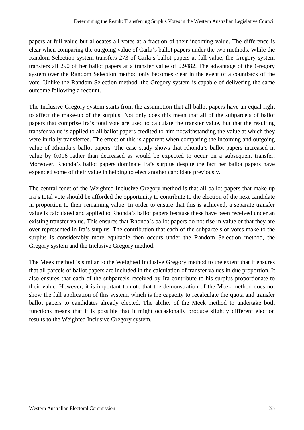papers at full value but allocates all votes at a fraction of their incoming value. The difference is clear when comparing the outgoing value of Carla's ballot papers under the two methods. While the Random Selection system transfers 273 of Carla's ballot papers at full value, the Gregory system transfers all 290 of her ballot papers at a transfer value of 0.9482. The advantage of the Gregory system over the Random Selection method only becomes clear in the event of a countback of the vote. Unlike the Random Selection method, the Gregory system is capable of delivering the same outcome following a recount.

The Inclusive Gregory system starts from the assumption that all ballot papers have an equal right to affect the make-up of the surplus. Not only does this mean that all of the subparcels of ballot papers that comprise Ira's total vote are used to calculate the transfer value, but that the resulting transfer value is applied to all ballot papers credited to him notwithstanding the value at which they were initially transferred. The effect of this is apparent when comparing the incoming and outgoing value of Rhonda's ballot papers. The case study shows that Rhonda's ballot papers increased in value by 0.016 rather than decreased as would be expected to occur on a subsequent transfer. Moreover, Rhonda's ballot papers dominate Ira's surplus despite the fact her ballot papers have expended some of their value in helping to elect another candidate previously.

The central tenet of the Weighted Inclusive Gregory method is that all ballot papers that make up Ira's total vote should be afforded the opportunity to contribute to the election of the next candidate in proportion to their remaining value. In order to ensure that this is achieved, a separate transfer value is calculated and applied to Rhonda's ballot papers because these have been received under an existing transfer value. This ensures that Rhonda's ballot papers do not rise in value or that they are over-represented in Ira's surplus. The contribution that each of the subparcels of votes make to the surplus is considerably more equitable then occurs under the Random Selection method, the Gregory system and the Inclusive Gregory method.

The Meek method is similar to the Weighted Inclusive Gregory method to the extent that it ensures that all parcels of ballot papers are included in the calculation of transfer values in due proportion. It also ensures that each of the subparcels received by Ira contribute to his surplus proportionate to their value. However, it is important to note that the demonstration of the Meek method does not show the full application of this system, which is the capacity to recalculate the quota and transfer ballot papers to candidates already elected. The ability of the Meek method to undertake both functions means that it is possible that it might occasionally produce slightly different election results to the Weighted Inclusive Gregory system.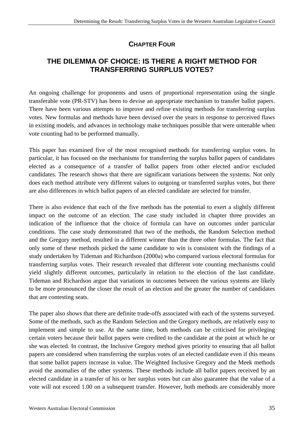# **CHAPTER FOUR**

## <span id="page-41-0"></span>**THE DILEMMA OF CHOICE: IS THERE A RIGHT METHOD FOR TRANSFERRING SURPLUS VOTES?**

An ongoing challenge for proponents and users of proportional representation using the single transferable vote (PR-STV) has been to devise an appropriate mechanism to transfer ballot papers. There have been various attempts to improve and refine existing methods for transferring surplus votes. New formulas and methods have been devised over the years in response to perceived flaws in existing models, and advances in technology make techniques possible that were untenable when vote counting had to be performed manually.

This paper has examined five of the most recognised methods for transferring surplus votes. In particular, it has focused on the mechanisms for transferring the surplus ballot papers of candidates elected as a consequence of a transfer of ballot papers from other elected and/or excluded candidates. The research shows that there are significant variations between the systems. Not only does each method attribute very different values to outgoing or transferred surplus votes, but there are also differences in which ballot papers of an elected candidate are selected for transfer.

There is also evidence that each of the five methods has the potential to exert a slightly different impact on the outcome of an election. The case study included in chapter three provides an indication of the influence that the choice of formula can have on outcomes under particular conditions. The case study demonstrated that two of the methods, the Random Selection method and the Gregory method, resulted in a different winner than the three other formulas. The fact that only some of these methods picked the same candidate to win is consistent with the findings of a study undertaken by Tideman and Richardson (2000a) who compared various electoral formulas for transferring surplus votes. Their research revealed that different vote counting mechanisms could yield slightly different outcomes, particularly in relation to the election of the last candidate. Tideman and Richardson argue that variations in outcomes between the various systems are likely to be more pronounced the closer the result of an election and the greater the number of candidates that are contesting seats.

The paper also shows that there are definite trade-offs associated with each of the systems surveyed. Some of the methods, such as the Random Selection and the Gregory methods, are relatively easy to implement and simple to use. At the same time, both methods can be criticised for privileging certain voters because their ballot papers were credited to the candidate at the point at which he or she was elected. In contrast, the Inclusive Gregory method gives priority to ensuring that all ballot papers are considered when transferring the surplus votes of an elected candidate even if this means that some ballot papers increase in value. The Weighted Inclusive Gregory and the Meek methods avoid the anomalies of the other systems. These methods include all ballot papers received by an elected candidate in a transfer of his or her surplus votes but can also guarantee that the value of a vote will not exceed 1.00 on a subsequent transfer. However, both methods are considerably more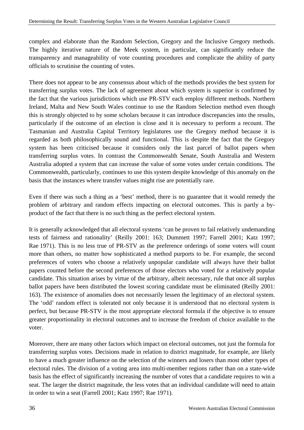complex and elaborate than the Random Selection, Gregory and the Inclusive Gregory methods. The highly iterative nature of the Meek system, in particular, can significantly reduce the transparency and manageability of vote counting procedures and complicate the ability of party officials to scrutinise the counting of votes.

There does not appear to be any consensus about which of the methods provides the best system for transferring surplus votes. The lack of agreement about which system is superior is confirmed by the fact that the various jurisdictions which use PR-STV each employ different methods. Northern Ireland, Malta and New South Wales continue to use the Random Selection method even though this is strongly objected to by some scholars because it can introduce discrepancies into the results, particularly if the outcome of an election is close and it is necessary to perform a recount. The Tasmanian and Australia Capital Territory legislatures use the Gregory method because it is regarded as both philosophically sound and functional. This is despite the fact that the Gregory system has been criticised because it considers only the last parcel of ballot papers when transferring surplus votes. In contrast the Commonwealth Senate, South Australia and Western Australia adopted a system that can increase the value of some votes under certain conditions. The Commonwealth, particularly, continues to use this system despite knowledge of this anomaly on the basis that the instances where transfer values might rise are potentially rare.

Even if there was such a thing as a 'best' method, there is no guarantee that it would remedy the problem of arbitrary and random effects impacting on electoral outcomes. This is partly a byproduct of the fact that there is no such thing as the perfect electoral system.

It is generally acknowledged that all electoral systems 'can be proven to fail relatively undemanding tests of fairness and rationality' (Reilly 2001: 163; Dummett 1997; Farrell 2001; Katz 1997; Rae 1971). This is no less true of PR-STV as the preference orderings of some voters will count more than others, no matter how sophisticated a method purports to be. For example, the second preferences of voters who choose a relatively unpopular candidate will always have their ballot papers counted before the second preferences of those electors who voted for a relatively popular candidate. This situation arises by virtue of the arbitrary, albeit necessary, rule that once all surplus ballot papers have been distributed the lowest scoring candidate must be eliminated (Reilly 2001: 163). The existence of anomalies does not necessarily lessen the legitimacy of an electoral system. The 'odd' random effect is tolerated not only because it is understood that no electoral system is perfect, but because PR-STV is the most appropriate electoral formula if the objective is to ensure greater proportionality in electoral outcomes and to increase the freedom of choice available to the voter.

Moreover, there are many other factors which impact on electoral outcomes, not just the formula for transferring surplus votes. Decisions made in relation to district magnitude, for example, are likely to have a much greater influence on the selection of the winners and losers than most other types of electoral rules. The division of a voting area into multi-member regions rather than on a state-wide basis has the effect of significantly increasing the number of votes that a candidate requires to win a seat. The larger the district magnitude, the less votes that an individual candidate will need to attain in order to win a seat (Farrell 2001; Katz 1997; Rae 1971).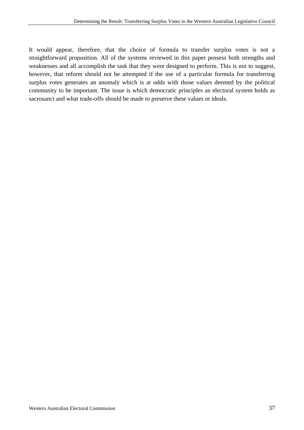It would appear, therefore, that the choice of formula to transfer surplus votes is not a straightforward proposition. All of the systems reviewed in this paper possess both strengths and weaknesses and all accomplish the task that they were designed to perform. This is not to suggest, however, that reform should not be attempted if the use of a particular formula for transferring surplus votes generates an anomaly which is at odds with those values deemed by the political community to be important. The issue is which democratic principles an electoral system holds as sacrosanct and what trade-offs should be made to preserve these values or ideals.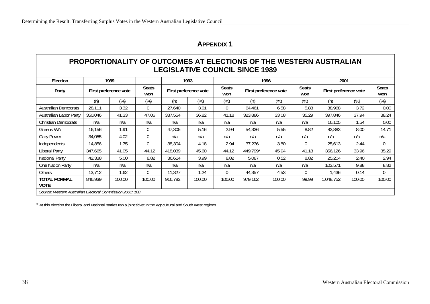## **APPENDIX 1**

## **PROPORTIONALITY OF OUTCOMES AT ELECTIONS OF THE WESTERN AUSTRALIAN LEGISLATIVE COUNCIL SINCE 1989**

| Election                                                  |         | 1989                  |                     |                       | 1993   |                     |          | 1996                  |                     | 2001                  |        |                     |
|-----------------------------------------------------------|---------|-----------------------|---------------------|-----------------------|--------|---------------------|----------|-----------------------|---------------------|-----------------------|--------|---------------------|
| Party                                                     |         | First preference vote | <b>Seats</b><br>won | First preference vote |        | <b>Seats</b><br>won |          | First preference vote | <b>Seats</b><br>won | First preference vote |        | <b>Seats</b><br>won |
|                                                           | (n)     | $(\%)$                | $(\%)$              | (n)                   | $(\%)$ | $(\%)$              | (n)      | (%)                   | $(\%)$              | (n)                   | $(\%)$ | $(\%)$              |
| <b>Australian Democrats</b>                               | 28,111  | 3.32                  | $\Omega$            | 27,640                | 3.01   | $\theta$            | 64,461   | 6.58                  | 5.88                | 38,968                | 3.72   | 0.00                |
| Australian Labor Party                                    | 350,046 | 41.33                 | 47.06               | 337,554               | 36.82  | 41.18               | 323,886  | 33.08                 | 35.29               | 397,846               | 37.94  | 38.24               |
| <b>Christian Democrats</b>                                | n/a     | n/a                   | n/a                 | n/a                   | n/a    | n/a                 | n/a      | n/a                   | n/a                 | 16,105                | 1.54   | 0.00                |
| Greens WA                                                 | 16,156  | 1.91                  | $\overline{0}$      | 47,305                | 5.16   | 2.94                | 54,336   | 5.55                  | 8.82                | 83,883                | 8.00   | 14.71               |
| <b>Grey Power</b>                                         | 34,055  | 4.02                  | $\Omega$            | n/a                   | n/a    | n/a                 | n/a      | n/a                   | n/a                 | n/a                   | n/a    | n/a                 |
| Independents                                              | 14,856  | 1.75                  | $\Omega$            | 38,304                | 4.18   | 2.94                | 37,236   | 3.80                  | 0                   | 25,613                | 2.44   | $\Omega$            |
| <b>Liberal Party</b>                                      | 347,665 | 41.05                 | 44.12               | 418,039               | 45.60  | 44.12               | 449,799* | 45.94                 | 41.18               | 356,126               | 33.96  | 35.29               |
| <b>National Party</b>                                     | 42,338  | 5.00                  | 8.82                | 36,614                | 3.99   | 8.82                | 5,087    | 0.52                  | 8.82                | 25,204                | 2.40   | 2.94                |
| One Nation Party                                          | n/a     | n/a                   | n/a                 | n/a                   | n/a    | n/a                 | n/a      | n/a                   | n/a                 | 103,571               | 9.88   | 8.82                |
| Others                                                    | 13,712  | 1.62                  | $\Omega$            | 11,327                | 1.24   | $\theta$            | 44,357   | 4.53                  | $\Omega$            | 1,436                 | 0.14   | $\overline{0}$      |
| <b>TOTAL FORMAL</b><br><b>VOTE</b>                        | 846,939 | 100.00                | 100.00              | 916,783               | 100.00 | 100.00              | 979,162  | 100.00                | 99.99               | 1,048,752             | 100.00 | 100.00              |
| Source: Western Australian Electoral Commission 2001: 168 |         |                       |                     |                       |        |                     |          |                       |                     |                       |        |                     |

<span id="page-44-0"></span>\* At this election the Liberal and National parties ran a joint ticket in the Agricultural and South West regions.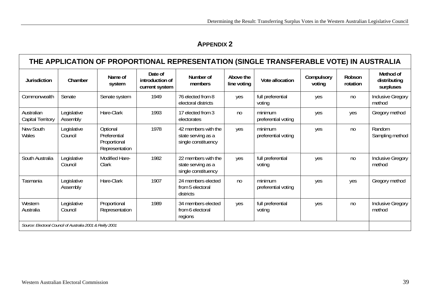**APPENDIX 2** 

<span id="page-45-0"></span>

| THE APPLICATION OF PROPORTIONAL REPRESENTATION (SINGLE TRANSFERABLE VOTE) IN AUSTRALIA |                                                           |                                                            |                                              |                                                                  |                          |                                |                      |                    |                                        |
|----------------------------------------------------------------------------------------|-----------------------------------------------------------|------------------------------------------------------------|----------------------------------------------|------------------------------------------------------------------|--------------------------|--------------------------------|----------------------|--------------------|----------------------------------------|
| <b>Jurisdiction</b>                                                                    | Chamber                                                   | Name of<br>system                                          | Date of<br>introduction of<br>current system | Number of<br>members                                             | Above the<br>line voting | Vote allocation                | Compulsory<br>voting | Robson<br>rotation | Method of<br>distributing<br>surpluses |
| Commonwealth                                                                           | Senate                                                    | Senate system                                              | 1949                                         | 76 elected from 8<br>electoral districts                         | yes                      | full preferential<br>voting    | yes                  | n <sub>0</sub>     | <b>Inclusive Gregory</b><br>method     |
| Australian<br>Capital Territory                                                        | Legislative<br>Assembly                                   | Hare-Clark                                                 | 1993                                         | 17 elected from 3<br>electorates                                 | no                       | minimum<br>preferential voting | yes                  | yes                | Gregory method                         |
| New South<br>Wales                                                                     | Legislative<br>Council                                    | Optional<br>Preferential<br>Proportional<br>Representation | 1978                                         | 42 members with the<br>state serving as a<br>single constituency | yes                      | minimum<br>preferential voting | yes                  | n <sub>0</sub>     | Random<br>Sampling method              |
| South Australia                                                                        | Legislative<br>Council                                    | Modified Hare-<br>Clark                                    | 1982                                         | 22 members with the<br>state serving as a<br>single constituency | yes                      | full preferential<br>voting    | yes                  | n <sub>0</sub>     | Inclusive Gregory<br>method            |
| Tasmania                                                                               | Legislative<br>Assembly                                   | Hare-Clark                                                 | 1907                                         | 24 members elected<br>from 5 electoral<br>districts              | no                       | minimum<br>preferential voting | yes                  | yes                | Gregory method                         |
| Western<br>Australia                                                                   | Legislative<br>Council                                    | Proportional<br>Representation                             | 1989                                         | 34 members elected<br>from 6 electoral<br>regions                | yes                      | full preferential<br>voting    | yes                  | no                 | <b>Inclusive Gregory</b><br>method     |
|                                                                                        | Source: Electoral Council of Australia 2001 & Reilly 2001 |                                                            |                                              |                                                                  |                          |                                |                      |                    |                                        |

 $\blacksquare$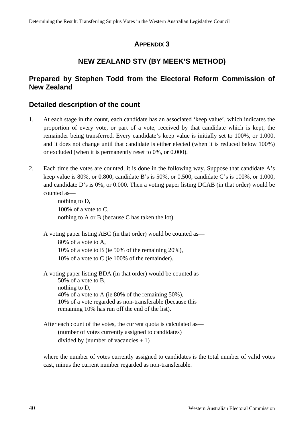## **APPENDIX 3**

# **NEW ZEALAND STV (BY MEEK'S METHOD)**

## <span id="page-46-0"></span>**Prepared by Stephen Todd from the Electoral Reform Commission of New Zealand**

## **Detailed description of the count**

- 1. At each stage in the count, each candidate has an associated 'keep value', which indicates the proportion of every vote, or part of a vote, received by that candidate which is kept, the remainder being transferred. Every candidate's keep value is initially set to 100%, or 1.000, and it does not change until that candidate is either elected (when it is reduced below 100%) or excluded (when it is permanently reset to 0%, or 0.000).
- 2. Each time the votes are counted, it is done in the following way. Suppose that candidate A's keep value is 80%, or 0.800, candidate B's is 50%, or 0.500, candidate C's is 100%, or 1.000, and candidate D's is 0%, or 0.000. Then a voting paper listing DCAB (in that order) would be counted as—

nothing to D, 100% of a vote to C, nothing to A or B (because C has taken the lot).

A voting paper listing ABC (in that order) would be counted as— 80% of a vote to A, 10% of a vote to B (ie 50% of the remaining 20%), 10% of a vote to C (ie 100% of the remainder).

A voting paper listing BDA (in that order) would be counted as— 50% of a vote to B, nothing to D, 40% of a vote to A (ie 80% of the remaining 50%), 10% of a vote regarded as non-transferable (because this remaining 10% has run off the end of the list).

After each count of the votes, the current quota is calculated as— (number of votes currently assigned to candidates) divided by (number of vacancies  $+1$ )

where the number of votes currently assigned to candidates is the total number of valid votes cast, minus the current number regarded as non-transferable.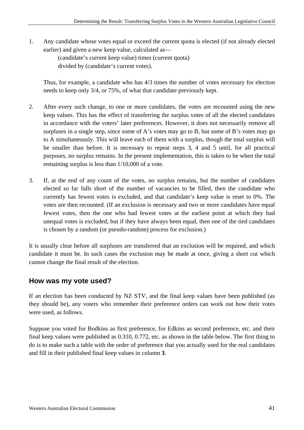1. Any candidate whose votes equal or exceed the current quota is elected (if not already elected earlier) and given a new keep value, calculated as—

> (candidate's current keep value) times (current quota) divided by (candidate's current votes).

Thus, for example, a candidate who has 4/3 times the number of votes necessary for election needs to keep only 3/4, or 75%, of what that candidate previously kept.

- 2. After every such change, to one or more candidates, the votes are recounted using the new keep values. This has the effect of transferring the surplus votes of all the elected candidates in accordance with the voters' later preferences. However, it does not necessarily remove all surpluses in a single step, since some of A's votes may go to B, but some of B's votes may go to A simultaneously. This will leave each of them with a surplus, though the total surplus will be smaller than before. It is necessary to repeat steps 3, 4 and 5 until, for all practical purposes, no surplus remains. In the present implementation, this is taken to be when the total remaining surplus is less than 1/10,000 of a vote.
- 3. If, at the end of any count of the votes, no surplus remains, but the number of candidates elected so far falls short of the number of vacancies to be filled, then the candidate who currently has fewest votes is excluded, and that candidate's keep value is reset to 0%. The votes are then recounted. (If an exclusion is necessary and two or more candidates have equal fewest votes, then the one who had fewest votes at the earliest point at which they had unequal votes is excluded, but if they have always been equal, then one of the tied candidates is chosen by a random (or pseudo-random) process for exclusion.)

It is usually clear before all surpluses are transferred that an exclusion will be required, and which candidate it must be. In such cases the exclusion may be made at once, giving a short cut which cannot change the final result of the election.

## **How was my vote used?**

If an election has been conducted by NZ STV, and the final keep values have been published (as they should be), any voters who remember their preference orders can work out how their votes were used, as follows.

Suppose you voted for Bodkins as first preference, for Edkins as second preference, etc. and their final keep values were published as 0.310, 0.772, etc. as shown in the table below. The first thing to do is to make such a table with the order of preference that you actually used for the real candidates and fill in their published final keep values in column **3**.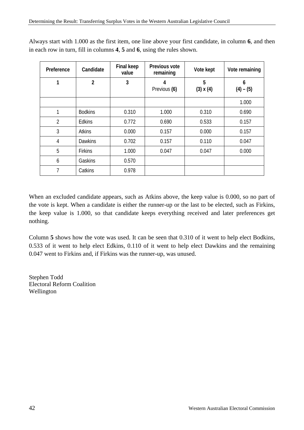| Preference     | Candidate      | <b>Final keep</b><br>value | Previous vote<br>remaining | Vote kept             | Vote remaining   |
|----------------|----------------|----------------------------|----------------------------|-----------------------|------------------|
| 1              | $\overline{2}$ | 3                          | 4<br>Previous (6)          | 5<br>$(3) \times (4)$ | 6<br>$(4) - (5)$ |
|                |                |                            |                            |                       | 1.000            |
| 1              | <b>Bodkins</b> | 0.310                      | 1.000                      | 0.310                 | 0.690            |
| $\overline{2}$ | <b>Edkins</b>  | 0.772                      | 0.690                      | 0.533                 | 0.157            |
| 3              | <b>Atkins</b>  | 0.000                      | 0.157                      | 0.000                 | 0.157            |
| $\overline{4}$ | <b>Dawkins</b> | 0.702                      | 0.157                      | 0.110                 | 0.047            |
| 5              | <b>Firkins</b> | 1.000                      | 0.047                      | 0.047                 | 0.000            |
| 6              | Gaskins        | 0.570                      |                            |                       |                  |
| 7              | Catkins        | 0.978                      |                            |                       |                  |

Always start with 1.000 as the first item, one line above your first candidate, in column **6**, and then in each row in turn, fill in columns **4**, **5** and **6**, using the rules shown.

When an excluded candidate appears, such as Atkins above, the keep value is 0.000, so no part of the vote is kept. When a candidate is either the runner-up or the last to be elected, such as Firkins, the keep value is 1.000, so that candidate keeps everything received and later preferences get nothing.

Column **5** shows how the vote was used. It can be seen that 0.310 of it went to help elect Bodkins, 0.533 of it went to help elect Edkins, 0.110 of it went to help elect Dawkins and the remaining 0.047 went to Firkins and, if Firkins was the runner-up, was unused.

Stephen Todd Electoral Reform Coalition Wellington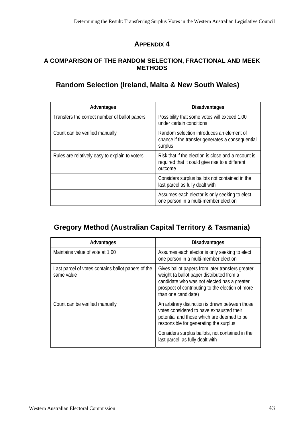# **APPENDIX 4**

#### <span id="page-49-0"></span>**A COMPARISON OF THE RANDOM SELECTION, FRACTIONAL AND MEEK METHODS**

# **Random Selection (Ireland, Malta & New South Wales)**

| Advantages                                     | <b>Disadvantages</b>                                                                                              |
|------------------------------------------------|-------------------------------------------------------------------------------------------------------------------|
| Transfers the correct number of ballot papers  | Possibility that some votes will exceed 1.00<br>under certain conditions                                          |
| Count can be verified manually                 | Random selection introduces an element of<br>chance if the transfer generates a consequential<br>surplus          |
| Rules are relatively easy to explain to voters | Risk that if the election is close and a recount is<br>required that it could give rise to a different<br>outcome |
|                                                | Considers surplus ballots not contained in the<br>last parcel as fully dealt with                                 |
|                                                | Assumes each elector is only seeking to elect<br>one person in a multi-member election                            |

# **Gregory Method (Australian Capital Territory & Tasmania)**

| Advantages                                                       | <b>Disadvantages</b>                                                                                                                                                                                                    |
|------------------------------------------------------------------|-------------------------------------------------------------------------------------------------------------------------------------------------------------------------------------------------------------------------|
| Maintains value of vote at 1.00                                  | Assumes each elector is only seeking to elect<br>one person in a multi-member election                                                                                                                                  |
| Last parcel of votes contains ballot papers of the<br>same value | Gives ballot papers from later transfers greater<br>weight (a ballot paper distributed from a<br>candidate who was not elected has a greater<br>prospect of contributing to the election of more<br>than one candidate) |
| Count can be verified manually                                   | An arbitrary distinction is drawn between those<br>votes considered to have exhausted their<br>potential and those which are deemed to be<br>responsible for generating the surplus                                     |
|                                                                  | Considers surplus ballots, not contained in the<br>last parcel, as fully dealt with                                                                                                                                     |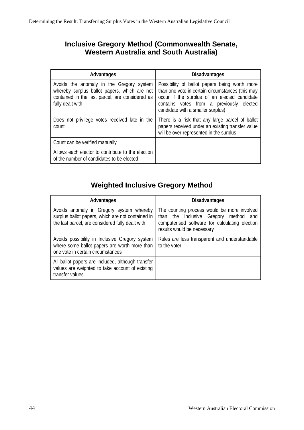# **Inclusive Gregory Method (Commonwealth Senate, Western Australia and South Australia)**

| Advantages                                                                                                                                                      | <b>Disadvantages</b>                                                                                                                                                                                                               |
|-----------------------------------------------------------------------------------------------------------------------------------------------------------------|------------------------------------------------------------------------------------------------------------------------------------------------------------------------------------------------------------------------------------|
| Avoids the anomaly in the Gregory system<br>whereby surplus ballot papers, which are not<br>contained in the last parcel, are considered as<br>fully dealt with | Possibility of ballot papers being worth more<br>than one vote in certain circumstances (this may<br>occur if the surplus of an elected candidate<br>contains votes from a previously elected<br>candidate with a smaller surplus) |
| Does not privilege votes received late in the<br>count                                                                                                          | There is a risk that any large parcel of ballot<br>papers received under an existing transfer value<br>will be over-represented in the surplus                                                                                     |
| Count can be verified manually                                                                                                                                  |                                                                                                                                                                                                                                    |
| Allows each elector to contribute to the election<br>of the number of candidates to be elected                                                                  |                                                                                                                                                                                                                                    |

# **Weighted Inclusive Gregory Method**

| Advantages                                                                                                                                        | <b>Disadvantages</b>                                                                                                                                                 |
|---------------------------------------------------------------------------------------------------------------------------------------------------|----------------------------------------------------------------------------------------------------------------------------------------------------------------------|
| Avoids anomaly in Gregory system whereby<br>surplus ballot papers, which are not contained in<br>the last parcel, are considered fully dealt with | The counting process would be more involved<br>than the Inclusive Gregory method and<br>computerised software for calculating election<br>results would be necessary |
| Avoids possibility in Inclusive Gregory system<br>where some ballot papers are worth more than<br>one vote in certain circumstances               | Rules are less transparent and understandable<br>to the voter                                                                                                        |
| All ballot papers are included, although transfer<br>values are weighted to take account of existing<br>transfer values                           |                                                                                                                                                                      |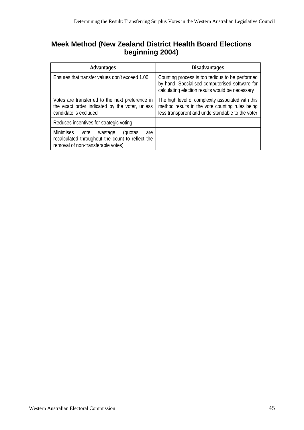# **Meek Method (New Zealand District Health Board Elections beginning 2004)**

| Advantages                                                                                                                               | <b>Disadvantages</b>                                                                                                                                     |
|------------------------------------------------------------------------------------------------------------------------------------------|----------------------------------------------------------------------------------------------------------------------------------------------------------|
| Ensures that transfer values don't exceed 1.00                                                                                           | Counting process is too tedious to be performed<br>by hand. Specialised computerised software for<br>calculating election results would be necessary     |
| Votes are transferred to the next preference in<br>the exact order indicated by the voter, unless<br>candidate is excluded               | The high level of complexity associated with this<br>method results in the vote counting rules being<br>less transparent and understandable to the voter |
| Reduces incentives for strategic voting                                                                                                  |                                                                                                                                                          |
| Minimises<br>wastage<br>vote<br>(quotas<br>are<br>recalculated throughout the count to reflect the<br>removal of non-transferable votes) |                                                                                                                                                          |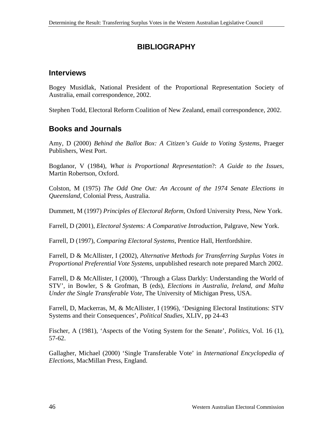# **BIBLIOGRAPHY**

## <span id="page-52-0"></span>**Interviews**

Bogey Musidlak, National President of the Proportional Representation Society of Australia, email correspondence, 2002.

Stephen Todd, Electoral Reform Coalition of New Zealand, email correspondence, 2002.

## **Books and Journals**

Amy, D (2000) *Behind the Ballot Box: A Citizen's Guide to Voting Systems*, Praeger Publishers, West Port.

Bogdanor, V (1984), *What is Proportional Representation*?: *A Guide to the Issues*, Martin Robertson, Oxford.

Colston, M (1975) *The Odd One Out: An Account of the 1974 Senate Elections in Queensland*, Colonial Press, Australia.

Dummett, M (1997) *Principles of Electoral Reform*, Oxford University Press, New York.

Farrell, D (2001), *Electoral Systems: A Comparative Introduction*, Palgrave, New York.

Farrell, D (1997), *Comparing Electoral Systems*, Prentice Hall, Hertfordshire.

Farrell, D & McAllister, I (2002), *Alternative Methods for Transferring Surplus Votes in Proportional Preferential Vote Systems*, unpublished research note prepared March 2002.

Farrell, D & McAllister, I (2000), 'Through a Glass Darkly: Understanding the World of STV', in Bowler, S & Grofman, B (eds), *Elections in Australia, Ireland, and Malta Under the Single Transferable Vote*, The University of Michigan Press, USA.

Farrell, D, Mackerras, M, & McAllister, I (1996), 'Designing Electoral Institutions: STV Systems and their Consequences', *Political Studies*, XLIV, pp 24-43

Fischer, A (1981), 'Aspects of the Voting System for the Senate', *Politics*, Vol. 16 (1), 57-62.

Gallagher, Michael (2000) 'Single Transferable Vote' in *International Encyclopedia of Elections*, MacMillan Press, England.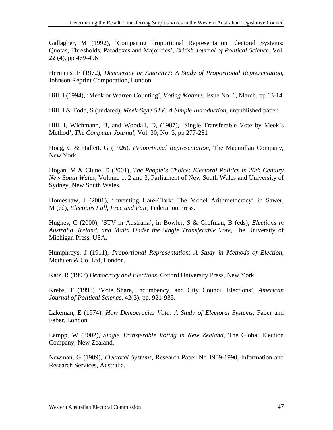Gallagher, M (1992), 'Comparing Proportional Representation Electoral Systems: Quotas, Thresholds, Paradoxes and Majorities', *British Journal of Political Science*, Vol. 22 (4), pp 469-496

Hermens, F (1972), *Democracy or Anarchy?: A Study of Proportional Representation*, Johnson Reprint Comporation, London.

Hill, I (1994), 'Meek or Warren Counting', *Voting Matters*, Issue No. 1, March, pp 13-14

Hill, I & Todd, S (undated), *Meek-Style STV: A Simple Introduction*, unpublished paper.

Hill, I, Wichmann, B, and Woodall, D, (1987), 'Single Transferable Vote by Meek's Method', *The Computer Journal*, Vol. 30, No. 3, pp 277-281

Hoag, C & Hallett, G (1926), *Proportional Representation*, The Macmillan Company, New York.

Hogan, M & Clune, D (2001), *The People's Choice: Electoral Politics in 20th Century New South Wales*, Volume 1, 2 and 3, Parliament of New South Wales and University of Sydney, New South Wales.

Homeshaw, J (2001), 'Inventing Hare-Clark: The Model Arithmetocracy' in Sawer, M (ed), *Elections Full, Free and Fair*, Federation Press.

Hughes, C (2000), 'STV in Australia', in Bowler, S & Grofman, B (eds), *Elections in Australia, Ireland, and Malta Under the Single Transferable Vote*, The University of Michigan Press, USA.

Humphreys, J (1911), *Proportional Representation*: *A Study in Methods of Election*, Methuen & Co. Ltd, London.

Katz, R (1997) *Democracy and Elections*, Oxford University Press, New York.

Krebs, T (1998) 'Vote Share, Incumbency, and City Council Elections', *American Journal of Political Science*, 42(3), pp. 921-935.

Lakeman, E (1974), *How Democracies Vote: A Study of Electoral Systems*, Faber and Faber, London.

Lampp, W (2002), *Single Transferable Voting in New Zealand*, The Global Election Company, New Zealand.

Newman, G (1989), *Electoral Systems*, Research Paper No 1989-1990, Information and Research Services, Australia.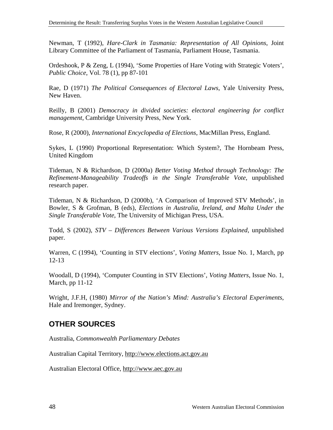Newman, T (1992), *Hare-Clark in Tasmania: Representation of All Opinions*, Joint Library Committee of the Parliament of Tasmania, Parliament House, Tasmania.

Ordeshook, P & Zeng, L (1994), 'Some Properties of Hare Voting with Strategic Voters', *Public Choice*, Vol. 78 (1), pp 87-101

Rae, D (1971) *The Political Consequences of Electoral Laws*, Yale University Press, New Haven.

Reilly, B (2001) *Democracy in divided societies: electoral engineering for conflict management*, Cambridge University Press, New York.

Rose, R (2000), *International Encyclopedia of Elections*, MacMillan Press, England.

Sykes, L (1990) Proportional Representation: Which System?, The Hornbeam Press, United Kingdom

Tideman, N & Richardson, D (2000a) *Better Voting Method through Technology: The Refinement-Manageability Tradeoffs in the Single Transferable Vote*, unpublished research paper.

Tideman, N & Richardson, D (2000b), 'A Comparison of Improved STV Methods', in Bowler, S & Grofman, B (eds), *Elections in Australia, Ireland, and Malta Under the Single Transferable Vote*, The University of Michigan Press, USA.

Todd, S (2002), *STV – Differences Between Various Versions Explained*, unpublished paper.

Warren, C (1994), 'Counting in STV elections', *Voting Matters*, Issue No. 1, March, pp 12-13

Woodall, D (1994), 'Computer Counting in STV Elections', *Voting Matters*, Issue No. 1, March, pp 11-12

Wright, J.F.H, (1980) *Mirror of the Nation's Mind: Australia's Electoral Experiments*, Hale and Iremonger, Sydney.

## **OTHER SOURCES**

Australia, *Commonwealth Parliamentary Debates* 

Australian Capital Territory, http://www.elections.act.gov.au

Australian Electoral Office, http://www.aec.gov.au